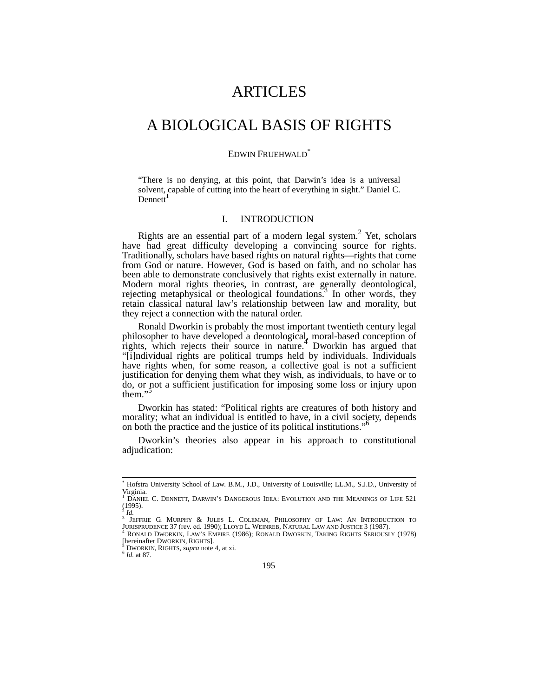# **ARTICLES**

# A BIOLOGICAL BASIS OF RIGHTS

## EDWIN FRUEHWALD<sup>\*</sup>

"There is no denying, at this point, that Darwin's idea is a universal solvent, capable of cutting into the heart of everything in sight." Daniel C.  $D$ ennett<sup>1</sup>

# I. INTRODUCTION

Rights are an essential part of a modern legal system.<sup>2</sup> Yet, scholars have had great difficulty developing a convincing source for rights. Traditionally, scholars have based rights on natural rights—rights that come from God or nature. However, God is based on faith, and no scholar has been able to demonstrate conclusively that rights exist externally in nature. Modern moral rights theories, in contrast, are generally deontological, rejecting metaphysical or theological foundations.<sup>3</sup> In other words, they retain classical natural law's relationship between law and morality, but they reject a connection with the natural order.

Ronald Dworkin is probably the most important twentieth century legal philosopher to have developed a deontological, moral-based conception of rights, which rejects their source in nature.<sup>4</sup> Dworkin has argued that "[i]ndividual rights are political trumps held by individuals. Individuals have rights when, for some reason, a collective goal is not a sufficient justification for denying them what they wish, as individuals, to have or to do, or not a sufficient justification for imposing some loss or injury upon them." $\cdot$ <sup>5</sup>

Dworkin has stated: "Political rights are creatures of both history and morality; what an individual is entitled to have, in a civil society, depends on both the practice and the justice of its political institutions."

Dworkin's theories also appear in his approach to constitutional adjudication:

 $\overline{a}$ 

<sup>\*</sup> Hofstra University School of Law. B.M., J.D., University of Louisville; LL.M., S.J.D., University of Virginia.

<sup>&</sup>lt;sup>1</sup> DANIEL C. DENNETT, DARWIN'S DANGEROUS IDEA: EVOLUTION AND THE MEANINGS OF LIFE 521  $\binom{1995}{1d}$ .

<sup>&</sup>lt;sup>1*II</sup>I*. **IDEFRIE G. MURPHY & JULES L. COLEMAN, PHILOSOPHY OF LAW: AN INTRODUCTION TO</sup>** 

JURISPRUDENCE 37 (rev. ed. 1990); LLOYD L. WEINREB, NATURAL LAW AND JUSTICE 3 (1987).<br><sup>4</sup> RONALD DWORKIN, LAW'S EMPIRE (1986); RONALD DWORKIN, TAKING RIGHTS SERIOUSLY (1978)<br>[hereinafter DWORKIN, RIGHTS].

 $\frac{5}{6}$  DWORKIN, RIGHTS, *supra* note 4, at xi.  $\frac{6}{6}$  *Id.* at 87.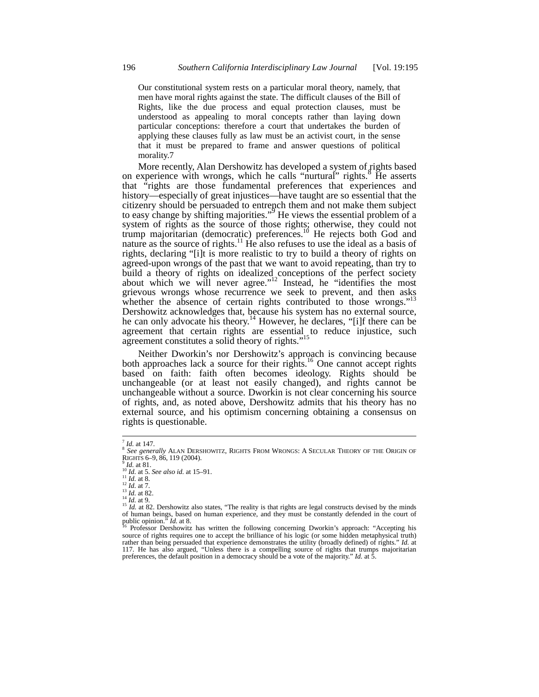Our constitutional system rests on a particular moral theory, namely, that men have moral rights against the state. The difficult clauses of the Bill of Rights, like the due process and equal protection clauses, must be understood as appealing to moral concepts rather than laying down particular conceptions: therefore a court that undertakes the burden of applying these clauses fully as law must be an activist court, in the sense that it must be prepared to frame and answer questions of political morality.7

More recently, Alan Dershowitz has developed a system of rights based on experience with wrongs, which he calls "nurtural" rights.<sup>8</sup> He asserts that "rights are those fundamental preferences that experiences and history—especially of great injustices—have taught are so essential that the citizenry should be persuaded to entrench them and not make them subject to easy change by shifting majorities."<sup>9</sup> He views the essential problem of a system of rights as the source of those rights; otherwise, they could not trump majoritarian (democratic) preferences.<sup>10</sup> He rejects both God and nature as the source of rights.<sup>11</sup> He also refuses to use the ideal as a basis of rights, declaring "[i]t is more realistic to try to build a theory of rights on agreed-upon wrongs of the past that we want to avoid repeating, than try to build a theory of rights on idealized conceptions of the perfect society about which we will never agree."<sup>12</sup> Instead, he "identifies the most grievous wrongs whose recurrence we seek to prevent, and then asks whether the absence of certain rights contributed to those wrongs."<sup>13</sup> Dershowitz acknowledges that, because his system has no external source, he can only advocate his theory.<sup>14</sup> However, he declares, "[i]f there can be agreement that certain rights are essential to reduce injustice, such agreement constitutes a solid theory of rights."<sup>15</sup>

Neither Dworkin's nor Dershowitz's approach is convincing because both approaches lack a source for their rights.<sup>16</sup> One cannot accept rights based on faith: faith often becomes ideology. Rights should be unchangeable (or at least not easily changed), and rights cannot be unchangeable without a source. Dworkin is not clear concerning his source of rights, and, as noted above, Dershowitz admits that his theory has no external source, and his optimism concerning obtaining a consensus on rights is questionable.

 $^7$  *Id.* at 147.

<sup>&</sup>lt;sup>8</sup> *See generally* ALAN DERSHOWITZ, RIGHTS FROM WRONGS: A SECULAR THEORY OF THE ORIGIN OF RIGHTS 6–9, 86, 119 (2004).

<sup>&</sup>lt;sup>9</sup> *Id.* at 5. *See also id.* at 15–91.<br><sup>11</sup> *Id.* at 5. *See also id.* at 15–91.<br><sup>12</sup> *Id.* at 8.<br><sup>13</sup> *Id.* at 82.<br><sup>14</sup> *Id.* at 82.<br><sup>14</sup> *Id.* at 82. Dershowitz also states, "The reality is that rights are legal const of human beings, based on human experience, and they must be constantly defended in the court of public opinion." *Id.* at 8.

Professor Dershowitz has written the following concerning Dworkin's approach: "Accepting his source of rights requires one to accept the brilliance of his logic (or some hidden metaphysical truth) rather than being persuaded that experience demonstrates the utility (broadly defined) of rights." *Id.* at 117. He has also argued, "Unless there is a compelling source of rights that trumps majoritarian preferences, the default position in a democracy should be a vote of the majority." *Id.* at 5.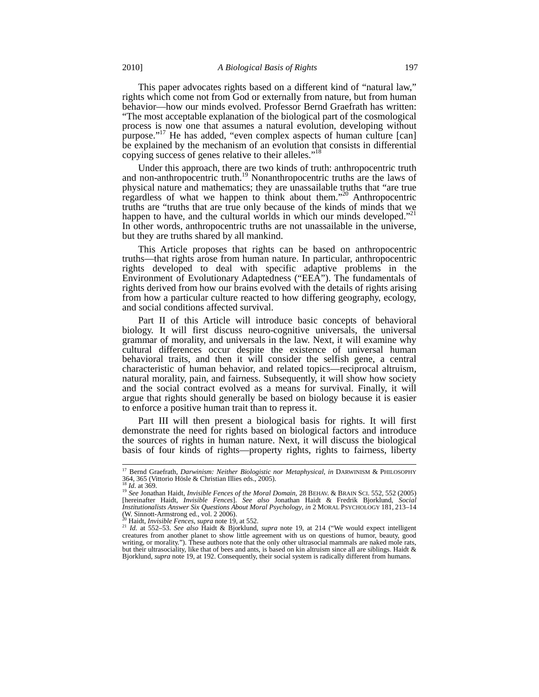This paper advocates rights based on a different kind of "natural law," rights which come not from God or externally from nature, but from human behavior—how our minds evolved. Professor Bernd Graefrath has written: "The most acceptable explanation of the biological part of the cosmological process is now one that assumes a natural evolution, developing without purpose."<sup>17</sup> He has added, "even complex aspects of human culture [can] be explained by the mechanism of an evolution that consists in differential copying success of genes relative to their alleles."<sup>18</sup>

Under this approach, there are two kinds of truth: anthropocentric truth and non-anthropocentric truth.<sup>19</sup> Nonanthropocentric truths are the laws of physical nature and mathematics; they are unassailable truths that "are true regardless of what we happen to think about them."<sup>20</sup> Anthropocentric truths are "truths that are true only because of the kinds of minds that we happen to have, and the cultural worlds in which our minds developed."<sup>21</sup> In other words, anthropocentric truths are not unassailable in the universe, but they are truths shared by all mankind.

This Article proposes that rights can be based on anthropocentric truths—that rights arose from human nature. In particular, anthropocentric rights developed to deal with specific adaptive problems in the Environment of Evolutionary Adaptedness ("EEA"). The fundamentals of rights derived from how our brains evolved with the details of rights arising from how a particular culture reacted to how differing geography, ecology, and social conditions affected survival.

Part II of this Article will introduce basic concepts of behavioral biology. It will first discuss neuro-cognitive universals, the universal grammar of morality, and universals in the law. Next, it will examine why cultural differences occur despite the existence of universal human behavioral traits, and then it will consider the selfish gene, a central characteristic of human behavior, and related topics—reciprocal altruism, natural morality, pain, and fairness. Subsequently, it will show how society and the social contract evolved as a means for survival. Finally, it will argue that rights should generally be based on biology because it is easier to enforce a positive human trait than to repress it.

Part III will then present a biological basis for rights. It will first demonstrate the need for rights based on biological factors and introduce the sources of rights in human nature. Next, it will discuss the biological basis of four kinds of rights—property rights, rights to fairness, liberty

<sup>17</sup> Bernd Graefrath, *Darwinism: Neither Biologistic nor Metaphysical*, *in* DARWINISM & PHILOSOPHY 364, 365 (Vittorio Hösle & Christian Illies eds., 2005).

<sup>&</sup>lt;sup>18</sup> Id. at 369.<br><sup>19</sup> See Jonathan Haidt, *Invisible Fences of the Moral Domain*, 28 BEHAV. & BRAIN SCI. 552, 552 (2005)<br>[hereinafter Haidt, *Invisible Fences*]. *See also J*onathan Haidt & Fredrik Bjorklund, *Social Institutionalists Answer Six Questions About Moral Psychology*, *in* 2 MORAL PSYCHOLOGY 181, 213–14 (W. Sinnott-Armstrong ed., vol. 2 2006).<br><sup>20</sup> Haidt, *Invisible Fences*, *supra* note 19, at 552.

<sup>20</sup> Haidt, *Invisible Fences*, *supra* note 19, at 552. <sup>21</sup> *Id.* at 552–53. *See also* Haidt & Bjorklund, *supra* note 19, at 214 ("We would expect intelligent creatures from another planet to show little agreement with us on questions of humor, beauty, good writing, or morality."). These authors note that the only other ultrasocial mammals are naked mole rats, but their ultrasociality, like that of bees and ants, is based on kin altruism since all are siblings. Haidt & Bjorklund, *supra* note 19, at 192. Consequently, their social system is radically different from humans.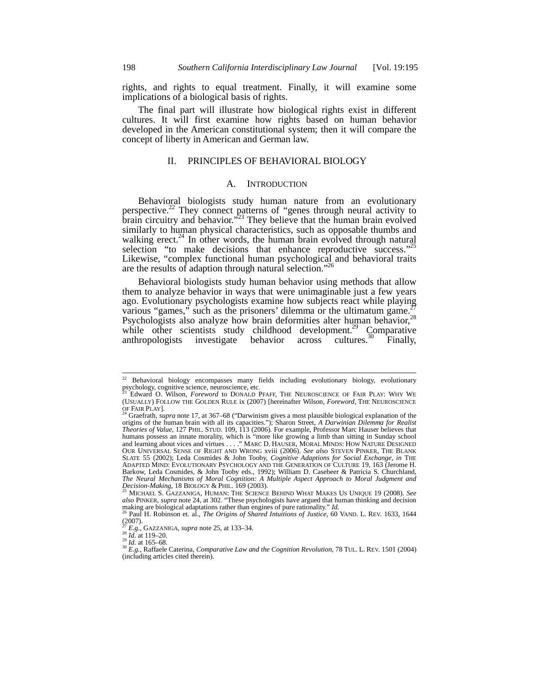rights, and rights to equal treatment. Finally, it will examine some implications of a biological basis of rights.

The final part will illustrate how biological rights exist in different cultures. It will first examine how rights based on human behavior developed in the American constitutional system; then it will compare the concept of liberty in American and German law.

# II. PRINCIPLES OF BEHAVIORAL BIOLOGY

# A. INTRODUCTION

Behavioral biologists study human nature from an evolutionary perspective.<sup>22</sup> They connect patterns of "genes through neural activity to brain circuitry and behavior.<sup>323</sup> They believe that the human brain evolved similarly to human physical characteristics, such as opposable thumbs and walking erect. $24$  In other words, the human brain evolved through natural selection "to make decisions that enhance reproductive success."<sup>25</sup> Likewise, "complex functional human psychological and behavioral traits are the results of adaption through natural selection."<sup>26</sup>

Behavioral biologists study human behavior using methods that allow them to analyze behavior in ways that were unimaginable just a few years ago. Evolutionary psychologists examine how subjects react while playing various "games," such as the prisoners' dilemma or the ultimatum game.<sup> $7$ </sup> Psychologists also analyze how brain deformities alter human behavior,<sup>28</sup> while other scientists study childhood development.<sup>29</sup> Comparative anthropologists investigate behavior  $\arccos$  cultures.<sup>30</sup> Finally,

 $\overline{a}$ 

 $22$  Behavioral biology encompasses many fields including evolutionary biology, evolutionary psychology, cognitive science, neuroscience, etc. <sup>23</sup> Edward O. Wilson, *Foreword* to DONALD PFAFF, THE NEUROSCIENCE OF FAIR PLAY: WHY WE

<sup>(</sup>USUALLY) FOLLOW THE GOLDEN RULE ix (2007) [hereinafter Wilson, *Foreword*, THE NEUROSCIENCE OF FAIR PLAY]. <sup>24</sup> Graefrath, *supra* note 17, at 367–68 ("Darwinism gives a most plausible biological explanation of the

origins of the human brain with all its capacities."); Sharon Street, *A Darwinian Dilemma for Realist Theories of Value*, 127 PHIL. STUD. 109, 113 (2006). For example, Professor Marc Hauser believes that humans possess an innate morality, which is "more like growing a limb than sitting in Sunday school and learning about vices and virtues . . . ." MARC D. HAUSER, MORAL MINDS: HOW NATURE DESIGNED OUR UNIVERSAL SENSE OF RIGHT AND WRONG xviii (2006). *See also* STEVEN PINKER, THE BLANK SLATE 55 (2002); Leda Cosmides & John Tooby, *Cognitive Adaptions for Social Exchange*, *in* THE ADAPTED MIND: EVOLUTIONARY PSYCHOLOGY AND THE GENERATION OF CULTURE 19, 163 (Jerome H. Barkow, Leda Cosmides, & John Tooby eds., 1992); William D. Casebeer & Patricia S. Churchland, *The Neural Mechanisms of Moral Cognition: A Multiple Aspect Approach to Moral Judgment and Decision-Making, 18 BIOLOGY & PHIL. 169 (2003).* 

*Decision-Making*, 18 BIOLOGY & PHIL. 169 (2003).<br><sup>25</sup> MICHAEL S. GAZZANIGA, HUMAN: THE SCIENCE BEHIND WHAT MAKES US UNIQUE 19 (2008). *See*<br>*also* PINKER, *supra* note 24, at 302. "These psychologists have argued that hum making are biological adaptations rather than engines of pure rationality." *Id.*<br><sup>26</sup> Paul H. Robinson et. al., *The Origins of Shared Intuitions of Justice*, 60 VAND. L. REV. 1633, 1644

<sup>(2007).&</sup>lt;br> ${}^{27}_{27}E$ .g., GAZZANIGA, *supra* note 25, at 133–34.

<sup>28</sup> *Ld.* at 119–20.<br>
<sup>29</sup> *Id.* at 119–20.<br>
<sup>29</sup> *Id.* at 165–68.<br>
<sup>30</sup> *E.g.*, Raffaele Caterina, *Comparative Law and the Cognition Revolution*, 78 TUL. L. REV. 1501 (2004) (including articles cited therein).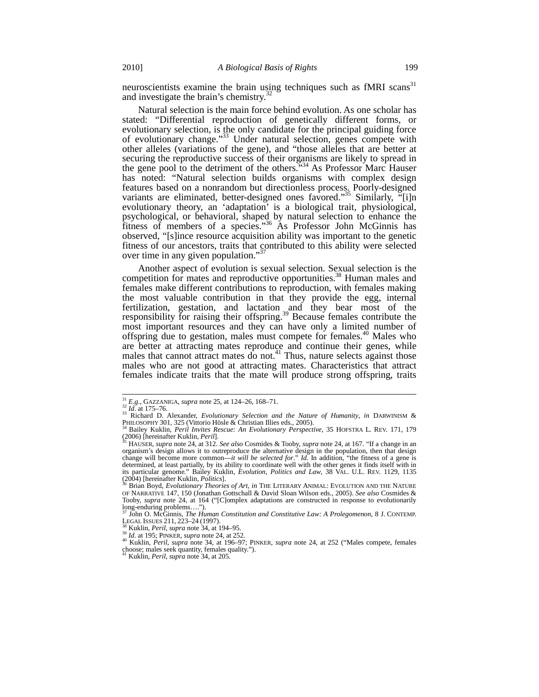neuroscientists examine the brain using techniques such as fMRI scans<sup>31</sup> and investigate the brain's chemistry.<sup>32</sup>

Natural selection is the main force behind evolution. As one scholar has stated: "Differential reproduction of genetically different forms, or evolutionary selection, is the only candidate for the principal guiding force of evolutionary change."<sup>33</sup> Under natural selection, genes compete with other alleles (variations of the gene), and "those alleles that are better at securing the reproductive success of their organisms are likely to spread in the gene pool to the detriment of the others."<sup>34</sup> As Professor Marc Hauser has noted: "Natural selection builds organisms with complex design features based on a nonrandom but directionless process. Poorly-designed variants are eliminated, better-designed ones favored."<sup>35</sup> Similarly, "[i]n evolutionary theory, an 'adaptation' is a biological trait, physiological, psychological, or behavioral, shaped by natural selection to enhance the fitness of members of a species."<sup>36</sup> As Professor John McGinnis has observed, "[s]ince resource acquisition ability was important to the genetic fitness of our ancestors, traits that contributed to this ability were selected over time in any given population."<sup>37</sup>

Another aspect of evolution is sexual selection. Sexual selection is the competition for mates and reproductive opportunities.<sup>38</sup> Human males and females make different contributions to reproduction, with females making the most valuable contribution in that they provide the egg, internal fertilization, gestation, and lactation and they bear most of the responsibility for raising their offspring.<sup>39</sup> Because females contribute the most important resources and they can have only a limited number of offspring due to gestation, males must compete for females.<sup>40</sup> Males who are better at attracting mates reproduce and continue their genes, while males that cannot attract mates do not.<sup>41</sup> Thus, nature selects against those males who are not good at attracting mates. Characteristics that attract females indicate traits that the mate will produce strong offspring, traits

 $\overline{a}$ 

<sup>&</sup>lt;sup>31</sup> *E.g.*, GAZZANIGA, *supra* note 25, at 124–26, 168–71.<br><sup>32</sup> *Id.* at 175–76.<br><sup>33</sup> Richard D. Alexander, *Evolutionary Selection and the Nature of Humanity, in* DARWINISM &

PHILOSOPHY 301, 325 (Vittorio Hösle & Christian Illies eds., 2005).<br><sup>34</sup> Bailey Kuklin, *Peril Invites Rescue: An Evolutionary Perspective*, 35 HOFSTRA L. REV. 171, 179<br>(2006) [hereinafter Kuklin, *Peril*].<br><sup>35</sup> HOFSTRA L.

<sup>(2006) [</sup>hereinafter Kuklin, *Peril*]. <sup>35</sup> HAUSER, *supra* note 24, at 312. *See also* Cosmides & Tooby, *supra* note 24, at 167. "If a change in an organism's design allows it to outreproduce the alternative design in the population, then that design change will become more common—*it will be selected for*." *Id.* In addition, "the fitness of a gene is determined, at least partially, by its ability to coordinate well with the other genes it finds itself with in its particular genome." Bailey Kuklin, *Evolution, Politics and Law*, 38 VAL. U.L. REV. 1129, 1135<br>(2004) [hereinafter Kuklin, *Politics*].<br><sup>36</sup> Brian Boud, *Evolutionary Theory Charles Company* 

<sup>(2004) [</sup>hereinafter Kuklin, *Politics*]. 36 Brian Boyd, *Evolutionary Theories of Art*, *in* THE LITERARY ANIMAL: EVOLUTION AND THE NATURE OF NARRATIVE 147, 150 (Jonathan Gottschall & David Sloan Wilson eds., 2005). *See also* Cosmides & Tooby, *supra* note 24, at 164 ("[C]omplex adaptations are constructed in response to evolutionarily

long-enduring problems....").<br><sup>37</sup> John O. McGinnis, *The Human Constitution and Constitutive Law: A Prolegomenon*, 8 J. CONTEMP.<br>LEGAL ISSUES 211, 223–24 (1997).<br><sup>38</sup> Kuklin, *Peril, supra* note 34, at 194–95.<br><sup>39</sup> *Id.*

<sup>&</sup>lt;sup>39</sup> *Id.* at 195; PINKER, *supra* note 24, at 252.<br><sup>40</sup> Kuklin, *Peril, supra* note 34, at 196–97; PINKER, *supra* note 24, at 252 ("Males compete, females choose; males seek quantity, females quality.").

<sup>41</sup> Kuklin, *Peril*, *supra* note 34, at 205.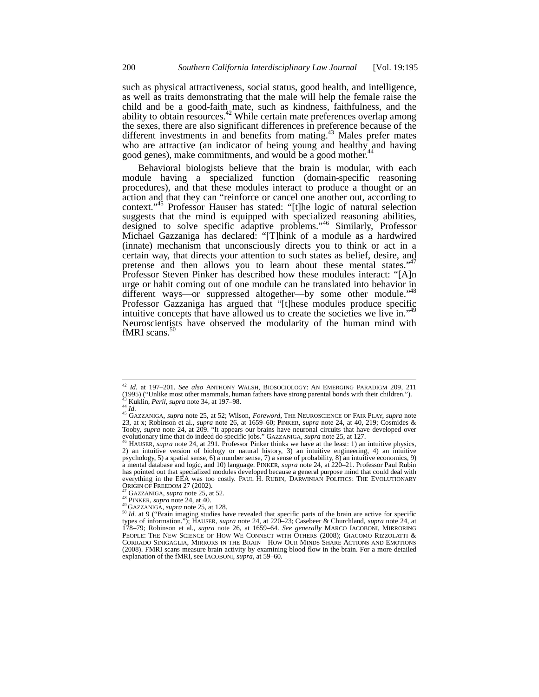such as physical attractiveness, social status, good health, and intelligence, as well as traits demonstrating that the male will help the female raise the child and be a good-faith mate, such as kindness, faithfulness, and the ability to obtain resources. $42$  While certain mate preferences overlap among the sexes, there are also significant differences in preference because of the different investments in and benefits from mating. $43$  Males prefer mates who are attractive (an indicator of being young and healthy and having good genes), make commitments, and would be a good mother.<sup>4</sup>

Behavioral biologists believe that the brain is modular, with each module having a specialized function (domain-specific reasoning procedures), and that these modules interact to produce a thought or an action and that they can "reinforce or cancel one another out, according to context."45 Professor Hauser has stated: "[t]he logic of natural selection suggests that the mind is equipped with specialized reasoning abilities, designed to solve specific adaptive problems."<sup>46</sup> Similarly, Professor Michael Gazzaniga has declared: "[T]hink of a module as a hardwired (innate) mechanism that unconsciously directs you to think or act in a certain way, that directs your attention to such states as belief, desire, and pretense and then allows you to learn about these mental states."<sup>47</sup> Professor Steven Pinker has described how these modules interact: "[A]n urge or habit coming out of one module can be translated into behavior in different ways—or suppressed altogether—by some other module."<sup>48</sup> Professor Gazzaniga has argued that "[t]hese modules produce specific intuitive concepts that have allowed us to create the societies we live in."<sup>49</sup> Neuroscientists have observed the modularity of the human mind with  $fMRI$  scans. $50$ 

<sup>42</sup> *Id.* at 197–201. *See also* ANTHONY WALSH, BIOSOCIOLOGY: AN EMERGING PARADIGM 209, 211 (1995) ("Unlike most other mammals, human fathers have strong parental bonds with their children.").

<sup>43</sup> Kuklin, *Peril*, *supra* note 34, at 197–98.<br><sup>44</sup> *Id.* 6 GAZZANIGA, *supra* note 25, at 52; Wilson, *Foreword*, THE NEUROSCIENCE OF FAIR PLAY, *supra* note 23, at x; Robinson et al., *supra* note 26, at 1659–60; PINKER, *supra* note 24, at 40, 219; Cosmides & Tooby, *supra* note 24, at 209. "It appears our brains have neuronal circuits that have developed over evolutionary time that do indeed do specific jobs." GAZZANIGA, *supra* note 25, at 127.<br><sup>46</sup> HAUSER, *supra* note 24, a

<sup>2)</sup> an intuitive version of biology or natural history, 3) an intuitive engineering, 4) an intuitive psychology, 5) a spatial sense, 6) a number sense, 7) a sense of probability, 8) an intuitive economics, 9) a mental database and logic, and 10) language. PINKER, *supra* note 24, at 220–21. Professor Paul Rubin has pointed out that specialized modules developed because a general purpose mind that could deal with everything in the EEA was too costly. PAUL H. RUBIN, DARWINIAN POLITICS: THE EVOLUTIONARY

ORIGIN OF FREEDOM 27 (2002).<br><sup>43</sup> GAZZANIGA, *supra* note 25, at 52.<br><sup>48</sup> CAZZANIGA, *supra* note 25, at 40.<br><sup>49</sup> GAZZANIGA, *supra* note 25, at 128.<br><sup>49</sup> GAZZANIGA, *supra* note 25, at 128.<br><sup>50</sup> *Id.* at 9 ("Brain imaging 178–79; Robinson et al., *supra* note 26, at 1659–64. *See generally* MARCO IACOBONI, MIRRORING PEOPLE: THE NEW SCIENCE OF HOW WE CONNECT WITH OTHERS (2008); GIACOMO RIZZOLATTI & CORRADO SINIGAGLIA, MIRRORS IN THE BRAIN—HOW OUR MINDS SHARE ACTIONS AND EMOTIONS (2008). FMRI scans measure brain activity by examining blood flow in the brain. For a more detailed explanation of the fMRI, see IACOBONI, *supra*, at 59–60.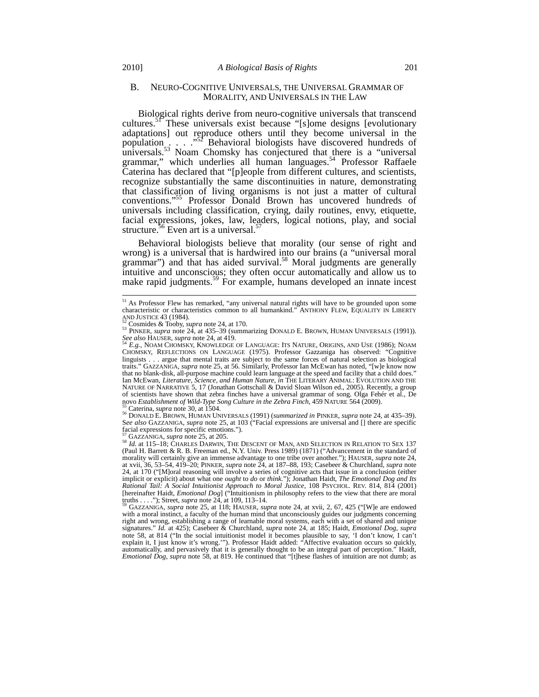#### B. NEURO-COGNITIVE UNIVERSALS, THE UNIVERSAL GRAMMAR OF MORALITY, AND UNIVERSALS IN THE LAW

Biological rights derive from neuro-cognitive universals that transcend cultures.<sup>51</sup> These universals exist because "[s]ome designs [evolutionary adaptations] out reproduce others until they become universal in the population  $\ldots$   $\frac{1}{52}$  Behavioral biologists have discovered hundreds of universals.<sup>53</sup> Noam Chomsky has conjectured that there is a "universal grammar," which underlies all human languages.<sup>54</sup> Professor Raffaele Caterina has declared that "[p]eople from different cultures, and scientists, recognize substantially the same discontinuities in nature, demonstrating that classification of living organisms is not just a matter of cultural conventions."55 Professor Donald Brown has uncovered hundreds of universals including classification, crying, daily routines, envy, etiquette, facial expressions, jokes, law, leaders, logical notions, play, and social structure.<sup>56</sup> Even art is a universal. $\frac{5}{5}$ 

Behavioral biologists believe that morality (our sense of right and wrong) is a universal that is hardwired into our brains (a "universal moral grammar") and that has aided survival.<sup>58</sup> Moral judgments are generally intuitive and unconscious; they often occur automatically and allow us to make rapid judgments.<sup>59</sup> For example, humans developed an innate incest

l

<sup>55</sup> Caterina, *supra* note 30, at 1504.<br><sup>56</sup> DONALD E. BROWN, HUMAN UNIVERSALS (1991) (*summarized in PINKER, supra* note 24, at 435–39). S*ee also* GAZZANIGA, *supra* note 25, at 103 ("Facial expressions are universal and [] there are specific facial expressions for specific emotions.").<br> $\frac{57}{2}$  GAZZANIGA, *supra* note 25, at 205.

<sup>59</sup> GAZZANIGA, *supra* note 25, at 118; HAUSER, *supra* note 24, at xvii, 2, 67, 425 ("[W]e are endowed with a moral instinct, a faculty of the human mind that unconsciously guides our judgments concerning right and wrong, establishing a range of learnable moral systems, each with a set of shared and unique signatures." *Id.* at 425); Casebeer & Churchland, *supra* note 24, at 185; Haidt, *Emotional Dog*, *supra* note 58, at 814 ("In the social intuitionist model it becomes plausible to say, 'I don't know, I can't explain it, I just know it's wrong.'"). Professor Haidt added: "Affective evaluation occurs so quickly, automatically, and pervasively that it is generally thought to be an integral part of perception." Haidt, *Emotional Dog*, *supra* note 58, at 819. He continued that "[t]hese flashes of intuition are not dumb; as

<sup>&</sup>lt;sup>51</sup> As Professor Flew has remarked, "any universal natural rights will have to be grounded upon some characteristics common to all humankind." ANTHONY FLEW, EQUALITY IN LIBERTY

AND JUSTICE 43 (1984).<br><sup>52</sup> Cosmides & Tooby, *supra* note 24, at 170.<br><sup>53</sup> PINKER, *supra* note 24, at 435–39 (summarizing DONALD E. BROWN, HUMAN UNIVERSALS (1991)).<br>*See also* HAUSER, *supra* note 24, at 419.

*E.g.*, NOAM CHOMSKY, KNOWLEDGE OF LANGUAGE: ITS NATURE, ORIGINS, AND USE (1986); NOAM CHOMSKY, REFLECTIONS ON LANGUAGE (1975). Professor Gazzaniga has observed: "Cognitive linguists . . . argue that mental traits are subject to the same forces of natural selection as biological traits." GAZZANIGA, *supra* note 25, at 56. Similarly, Professor Ian McEwan has noted, "[w]e know now that no blank-disk, all-purpose machine could learn language at the speed and facility that a child does." Ian McEwan, *Literature, Science, and Human Nature*, *in* THE LITERARY ANIMAL: EVOLUTION AND THE NATURE OF NARRATIVE 5, 17 (Jonathan Gottschall & David Sloan Wilson ed., 2005). Recently, a group of scientists have shown that zebra finches have a universal grammar of song. Olga Fehér et al., De novo *Establishment of Wild-Type Song Culture in the Zebra Finch*, 459 NATURE 564 (2009).

<sup>&</sup>lt;sup>58</sup> *Id.* at 115–18; CHARLES DARWIN, THE DESCENT OF MAN, AND SELECTION IN RELATION TO SEX 137 (Paul H. Barrett & R. B. Freeman ed., N.Y. Univ. Press 1989) (1871) ("Advancement in the standard of morality will certainly give an immense advantage to one tribe over another."); HAUSER, *supra* note 24, at xvii, 36, 53–54, 419–20; PINKER, *supra* note 24, at 187–88, 193; Casebeer & Churchland, *supra* note 24, at 170 ("[M]oral reasoning will involve a series of cognitive acts that issue in a conclusion (either implicit or explicit) about what one *ought* to *do* or *think*."); Jonathan Haidt, *The Emotional Dog and Its Rational Tail: A Social Intuitionist Approach to Moral Justice*, 108 PSYCHOL. REV. 814, 814 (2001) [hereinafter Haidt, *Emotional Dog*] ("Intuitionism in philosophy refers to the view that there are moral truths . . . ."); Street, *supra* note 24, at 109, 113–14.<br><sup>59</sup> GAZZANIGA, *supra* note 25, at 118; HAUSER, *supra*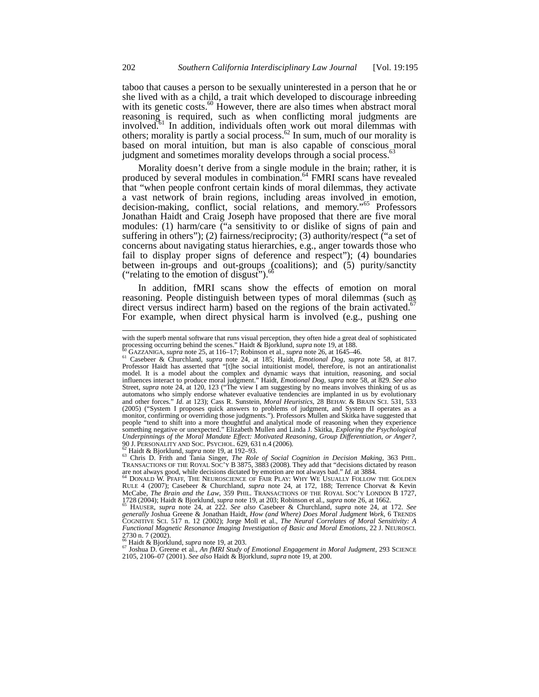taboo that causes a person to be sexually uninterested in a person that he or she lived with as a child, a trait which developed to discourage inbreeding with its genetic costs.<sup>60</sup> However, there are also times when abstract moral reasoning is required, such as when conflicting moral judgments are involved.<sup>61</sup> In addition, individuals often work out moral dilemmas with others; morality is partly a social process.<sup>62</sup> In sum, much of our morality is based on moral intuition, but man is also capable of conscious moral judgment and sometimes morality develops through a social process.<sup>6</sup>

Morality doesn't derive from a single module in the brain; rather, it is produced by several modules in combination.<sup>64</sup> FMRI scans have revealed that "when people confront certain kinds of moral dilemmas, they activate a vast network of brain regions, including areas involved in emotion, decision-making, conflict, social relations, and memory."<sup>65</sup> Professors Jonathan Haidt and Craig Joseph have proposed that there are five moral modules: (1) harm/care ("a sensitivity to or dislike of signs of pain and suffering in others"); (2) fairness/reciprocity; (3) authority/respect ("a set of concerns about navigating status hierarchies, e.g., anger towards those who fail to display proper signs of deference and respect"); (4) boundaries between in-groups and out-groups (coalitions); and (5) purity/sanctity ("relating to the emotion of disgust"). $66$ 

In addition, fMRI scans show the effects of emotion on moral reasoning. People distinguish between types of moral dilemmas (such as direct versus indirect harm) based on the regions of the brain activated.<sup>6</sup> For example, when direct physical harm is involved (e.g., pushing one

90 J. PERSONALITY AND SOC. PSYCHOL. 629, 631 n.4 (2006). <sup>62</sup> Haidt & Bjorklund, *supra* note 19, at 192–93. <sup>63</sup> Chris D. Frith and Tania Singer, *The Role of Social Cognition in Decision Making*, 363 PHIL. TRANSACTIONS OF THE ROYAL SOC'Y B 3875, 3883 (2008). They add that "decisions dictated by reason are not always good, while decisions dictated by emotion are not always bad." *Id.* at 3884. <sup>64</sup> DONALD W. PFAFF, THE NEUROSCIENCE OF FAIR PLAY: WHY WE USUALLY FOLLOW THE GOLDEN

RULE 4 (2007); Casebeer & Churchland, *supra* note 24, at 172, 188; Terrence Chorvat & Kevin McCabe, *The Brain and the Law*, 359 PHIL. TRANSACTIONS OF THE ROYAL SOC'Y LONDON B 1727, 1728 (2004); Haidt & Bjorklund, *supra* note 19, at 203; Robinson et al., *supra* note 26, at 1662.<br><sup>65</sup> HAUSER, *supra* note 24, at

*generally* Joshua Greene & Jonathan Haidt, *How (and Where) Does Moral Judgment Work*, 6 TRENDS COGNITIVE SCI. 517 n. 12 (2002); Jorge Moll et al., *The Neural Correlates of Moral Sensitivity: A Functional Magnetic Resonance Imaging Investigation of Basic and Moral Emotions*, 22 J. NEUROSCI. 2730 n. 7 (2002).<br>
<sup>66</sup> Haidt & Bjorklund, *supra* note 19, at 203.

<sup>66</sup> Haidt & Bjorklund, *supra* note 19, at 203. <sup>67</sup> Joshua D. Greene et al., *An fMRI Study of Emotional Engagement in Moral Judgment*, 293 SCIENCE 2105, 2106–07 (2001). *See also* Haidt & Bjorklund, *supra* note 19, at 200.

with the superb mental software that runs visual perception, they often hide a great deal of sophisticated

processing occurring behind the scenes." Haidt & Bjorklund, *supra* note 19, at 188.<br><sup>60</sup> GAZZANIGA, *supra* note 25, at 116–17; Robinson et al., *supra* note 26, at 1645–46.<br><sup>61</sup> Casebeer & Churchland, *supra* note 24, at Professor Haidt has asserted that "[t]he social intuitionist model, therefore, is not an antirationalist model. It is a model about the complex and dynamic ways that intuition, reasoning, and social influences interact to produce moral judgment." Haidt, *Emotional Dog*, *supra* note 58, at 829. *See also* Street, *supra* note 24, at 120, 123 ("The view I am suggesting by no means involves thinking of us as automatons who simply endorse whatever evaluative tendencies are implanted in us by evolutionary and other forces." *Id.* at 123); Cass R. Sunstein, *Moral Heuristics*, 28 BEHAV. & BRAIN SCI. 531, 533 (2005) ("System I proposes quick answers to problems of judgment, and System II operates as a monitor, confirming or overriding those judgments."). Professors Mullen and Skitka have suggested that people "tend to shift into a more thoughtful and analytical mode of reasoning when they experience something negative or unexpected." Elizabeth Mullen and Linda J. Skitka, *Exploring the Psychological Underpinnings of the Moral Mandate Effect: Motivated Reasoning, Group Differentiation, or Anger?,*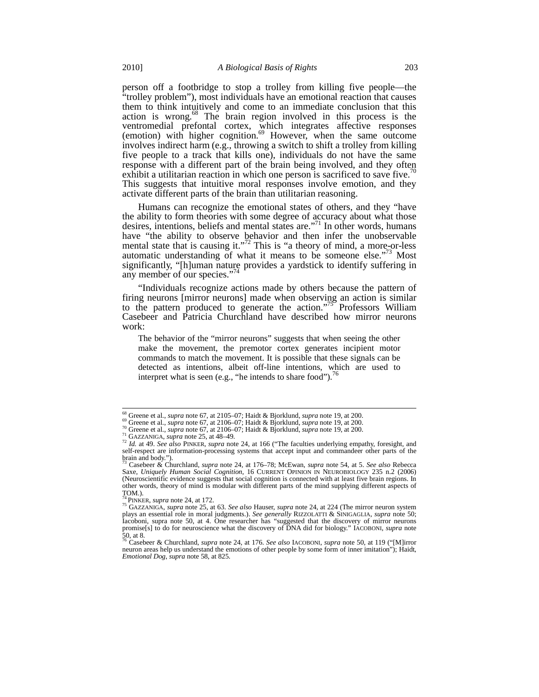person off a footbridge to stop a trolley from killing five people—the "trolley problem"), most individuals have an emotional reaction that causes them to think intuitively and come to an immediate conclusion that this action is wrong.<sup>68</sup> The brain region involved in this process is the ventromedial prefontal cortex, which integrates affective responses (emotion) with higher cognition.<sup>69</sup> However, when the same outcome involves indirect harm (e.g., throwing a switch to shift a trolley from killing five people to a track that kills one), individuals do not have the same response with a different part of the brain being involved, and they often exhibit a utilitarian reaction in which one person is sacrificed to save five.<sup>70</sup> This suggests that intuitive moral responses involve emotion, and they activate different parts of the brain than utilitarian reasoning.

Humans can recognize the emotional states of others, and they "have the ability to form theories with some degree of accuracy about what those desires, intentions, beliefs and mental states are."71 In other words, humans have "the ability to observe behavior and then infer the unobservable mental state that is causing it."<sup>72</sup> This is "a theory of mind, a more-or-less automatic understanding of what it means to be someone else."<sup>73</sup> Most significantly, "[h]uman nature provides a yardstick to identify suffering in any member of our species."<sup>74</sup>

"Individuals recognize actions made by others because the pattern of firing neurons [mirror neurons] made when observing an action is similar to the pattern produced to generate the action."<sup>75</sup> Professors William Casebeer and Patricia Churchland have described how mirror neurons work:

The behavior of the "mirror neurons" suggests that when seeing the other make the movement, the premotor cortex generates incipient motor commands to match the movement. It is possible that these signals can be detected as intentions, albeit off-line intentions, which are used to interpret what is seen (e.g., "he intends to share food").<sup>7</sup>

<sup>&</sup>lt;sup>68</sup> Greene et al., *supra* note 67, at 2105-07; Haidt & Bjorklund, *supra* note 19, at 200.

<sup>&</sup>lt;sup>69</sup> Greene et al., *supra* note 67, at 2106–07; Haidt & Bjorklund, *supra* note 19, at 200.<br><sup>70</sup> Greene et al., *supra* note 67, at 2106–07; Haidt & Bjorklund, *supra* note 19, at 200.<br><sup>71</sup> GAZZANIGA, *supra* note 25, at self-respect are information-processing systems that accept input and commandeer other parts of the  $\frac{1}{73}$  and body.").

<sup>73</sup> Casebeer & Churchland, *supra* note 24, at 176–78; McEwan, *supra* note 54, at 5. *See also* Rebecca Saxe, *Uniquely Human Social Cognition*, 16 CURRENT OPINION IN NEUROBIOLOGY 235 n.2 (2006) (Neuroscientific evidence suggests that social cognition is connected with at least five brain regions. In other words, theory of mind is modular with different parts of the mind supplying different aspects of TOM.).<br> $74$  PINKER, *supra* note 24, at 172.

<sup>74</sup> PINKER, *supra* note 24, at 172. <sup>75</sup> GAZZANIGA, *supra* note 25, at 63. *See also* Hauser, *supra* note 24, at 224 (The mirror neuron system plays an essential role in moral judgments.). *See generally* RIZZOLATTI & SINIGAGLIA, *supra* note 50; Iacoboni, supra note 50, at 4. One researcher has "suggested that the discovery of mirror neurons promise[s] to do for neuroscience what the discovery of DNA did for biology." IACOBONI, *supra* note 50, at 8. <sup>76</sup> Casebeer & Churchland, *supra* note 24, at 176. *See also* IACOBONI, *supra* note 50, at 119 ("[M]irror

neuron areas help us understand the emotions of other people by some form of inner imitation"); Haidt, *Emotional Dog*, *supra* note 58, at 825.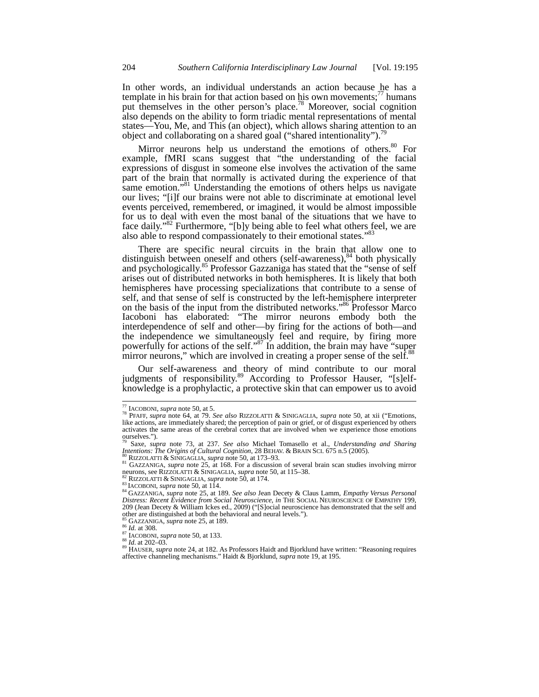In other words, an individual understands an action because he has a template in his brain for that action based on his own movements;<sup>77</sup> humans put themselves in the other person's place.<sup>78</sup> Moreover, social cognition also depends on the ability to form triadic mental representations of mental states—You, Me, and This (an object), which allows sharing attention to an object and collaborating on a shared goal ("shared intentionality").<sup>7</sup>

Mirror neurons help us understand the emotions of others.<sup>80</sup> For example, fMRI scans suggest that "the understanding of the facial expressions of disgust in someone else involves the activation of the same part of the brain that normally is activated during the experience of that same emotion."<sup>81</sup> Understanding the emotions of others helps us navigate our lives; "[i]f our brains were not able to discriminate at emotional level events perceived, remembered, or imagined, it would be almost impossible for us to deal with even the most banal of the situations that we have to face daily."<sup>82</sup> Furthermore, "[b]y being able to feel what others feel, we are also able to respond compassionately to their emotional states."<sup>83</sup>

There are specific neural circuits in the brain that allow one to distinguish between oneself and others (self-awareness), $84$  both physically and psychologically.<sup>85</sup> Professor Gazzaniga has stated that the "sense of self arises out of distributed networks in both hemispheres. It is likely that both hemispheres have processing specializations that contribute to a sense of self, and that sense of self is constructed by the left-hemisphere interpreter on the basis of the input from the distributed networks."<sup>86</sup> Professor Marco Iacoboni has elaborated: "The mirror neurons embody both the interdependence of self and other—by firing for the actions of both—and the independence we simultaneously feel and require, by firing more powerfully for actions of the self."<sup>87</sup> In addition, the brain may have "super mirror neurons," which are involved in creating a proper sense of the self.<sup>88</sup>

Our self-awareness and theory of mind contribute to our moral judgments of responsibility.<sup>89</sup> According to Professor Hauser, "[s]elfknowledge is a prophylactic, a protective skin that can empower us to avoid

<sup>&</sup>lt;sup>77</sup> IACOBONI, *supra* note 50, at 5.<br><sup>78</sup> PFAFF, *supra* note 64, at 79. *See also* RIZZOLATTI & SINIGAGLIA, *supra* note 50, at xii ("Emotions, like actions, are immediately shared; the perception of pain or grief, or of disgust experienced by others activates the same areas of the cerebral cortex that are involved when we experience those emotions ourselves.").

<sup>79</sup> Saxe, *supra* note 73, at 237. *See also* Michael Tomasello et al., *Understanding and Sharing* 

<sup>&</sup>lt;sup>80</sup> RIZZOLATTI & SIÑIGAGLIA, *supra* note 50, at 173–93.<br><sup>81</sup> GAZZANIGA, *supra* note 25, at 168. For a discussion of several brain scan studies involving mirror neurons, see RIZZOLATTI & SINIGAGLIA, *supra* note 50, at

neurons, see RIZZOLATTI & SINIGAGLIA, *supra* note 50, at 115–38.<br><sup>82</sup> RIZZOLATTI & SINIGAGLIA, *supra* note 50, at 174.<br><sup>83</sup> IACOBONI, *supra* note 50, at 114.<br><sup>84</sup> GAZZANIGA, *supra* note 25, at 189. *See also* Jean Dece 209 (Jean Decety & William Ickes ed., 2009) ("[S]ocial neuroscience has demonstrated that the self and other are distinguished at both the behavioral and neural levels."). <sup>85</sup> GAZZANIGA, *supra* note 25, at 189.

 $^{86}$  *Id.* at 308.<br><sup>87</sup> *Id.* at 308.<br><sup>87</sup> IACOBONI, *supra* note 50, at 133.<br><sup>88</sup> *Id.* at 202–03.<br><sup>88</sup> HAUSER, *supra* note 24, at 182. As Professors Haidt and Bjorklund have written: "Reasoning requires affective channeling mechanisms." Haidt & Bjorklund, *supra* note 19, at 195.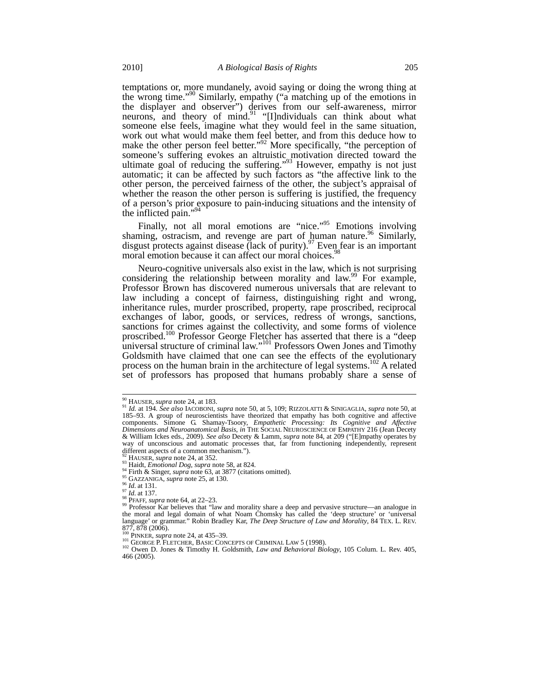temptations or, more mundanely, avoid saying or doing the wrong thing at the wrong time."90 Similarly, empathy ("a matching up of the emotions in the displayer and observer") derives from our self-awareness, mirror neurons, and theory of mind.<sup>91</sup> "[I]ndividuals can think about what someone else feels, imagine what they would feel in the same situation, work out what would make them feel better, and from this deduce how to make the other person feel better."<sup>92</sup> More specifically, "the perception of someone's suffering evokes an altruistic motivation directed toward the ultimate goal of reducing the suffering."<sup>93</sup> However, empathy is not just automatic; it can be affected by such factors as "the affective link to the other person, the perceived fairness of the other, the subject's appraisal of whether the reason the other person is suffering is justified, the frequency of a person's prior exposure to pain-inducing situations and the intensity of the inflicted pain."<sup>94</sup>

Finally, not all moral emotions are "nice."<sup>95</sup> Emotions involving shaming, ostracism, and revenge are part of human nature.<sup>96</sup> Similarly, disgust protects against disease (lack of purity).<sup>97</sup> Even fear is an important moral emotion because it can affect our moral choices.<sup>98</sup>

Neuro-cognitive universals also exist in the law, which is not surprising considering the relationship between morality and law.<sup>99</sup> For example, Professor Brown has discovered numerous universals that are relevant to law including a concept of fairness, distinguishing right and wrong, inheritance rules, murder proscribed, property, rape proscribed, reciprocal exchanges of labor, goods, or services, redress of wrongs, sanctions, sanctions for crimes against the collectivity, and some forms of violence proscribed.<sup>100</sup> Professor George Fletcher has asserted that there is a "deep universal structure of criminal law."<sup>101</sup> Professors Owen Jones and Timothy Goldsmith have claimed that one can see the effects of the evolutionary process on the human brain in the architecture of legal systems.<sup>102</sup> A related set of professors has proposed that humans probably share a sense of

<sup>&</sup>lt;sup>90</sup> HAUSER, *supra* note 24, at 183.<br><sup>91</sup> *Id.* at 194. *See also* IACOBONI, *supra* note 50, at 5, 109; RIZZOLATTI & SINIGAGLIA, *supra* note 50, at 185–93. A group of neuroscientists have theorized that empathy has both cognitive and affective components. Simone G. Shamay-Tsoory, *Empathetic Processing: Its Cognitive and Affective Dimensions and Neuroanatomical Basis*, *in* THE SOCIAL NEUROSCIENCE OF EMPATHY 216 (Jean Decety & William Ickes eds., 2009). *See also* Decety & Lamm, *supra* note 84, at 209 ("[E]mpathy operates by way of unconscious and automatic processes that, far from functioning independently, represent different aspects of a common mechanism.").<br><sup>92</sup> HAUSER, *supra* note 24, at 352.

<sup>&</sup>lt;sup>92</sup> HAUSER, *supra* note 24, at 352.<br><sup>93</sup> Haidt, *Emotional Dog, supra* note 58, at 824.<br><sup>94</sup> Firth & Singer, *supra* note 63, at 3877 (citations omitted).<br><sup>96</sup> *Id.* at 131.<br><sup>96</sup> *Id.* at 137.<br><sup>98</sup> PFAFF, *supra* note 6 the moral and legal domain of what Noam Chomsky has called the 'deep structure' or 'universal language' or grammar." Robin Bradley Kar, *The Deep Structure of Law and Morality*, 84 TEX. L. REV. 877, 878 (2006).<br><sup>100</sup> PINKER, *supra* note 24, at 435–39.<br><sup>101</sup> GEORGE P. FLETCHER, BASIC CONCEPTS OF CRIMINAL LAW 5 (1998).<br><sup>102</sup> Owen D. Jones & Timothy H. Goldsmith, *Law and Behavioral Biology*, 105 Colum. L. Rev. 405

<sup>102</sup> Owen D. Jones & Timothy H. Goldsmith, *Law and Behavioral Biology*, 105 Colum. L. Rev. 405, 466 (2005).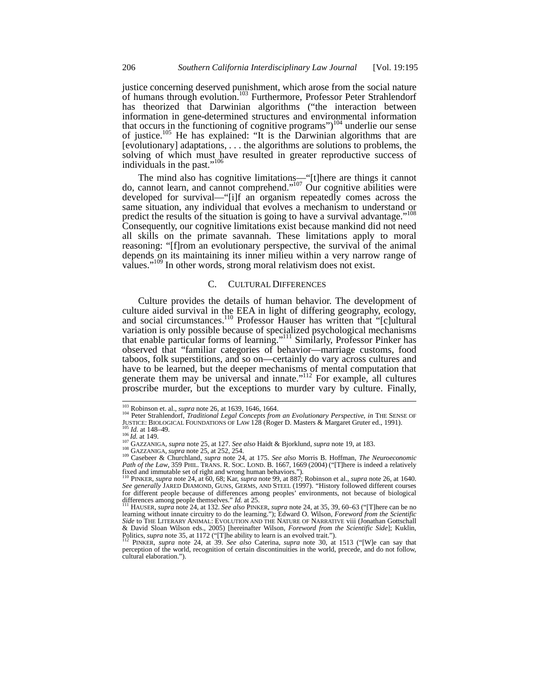justice concerning deserved punishment, which arose from the social nature of humans through evolution.<sup>103</sup> Furthermore, Professor Peter Strahlendorf has theorized that Darwinian algorithms ("the interaction between information in gene-determined structures and environmental information that occurs in the functioning of cognitive programs")<sup>104</sup> underlie our sense of justice.<sup>105</sup> He has explained: "It is the Darwinian algorithms that are [evolutionary] adaptations, . . . the algorithms are solutions to problems, the solving of which must have resulted in greater reproductive success of individuals in the past."<sup>106</sup>

The mind also has cognitive limitations—" $[t]$ here are things it cannot do, cannot learn, and cannot comprehend." $107 \text{ Our cognitive abilities were}$ developed for survival—"[i]f an organism repeatedly comes across the same situation, any individual that evolves a mechanism to understand or predict the results of the situation is going to have a survival advantage."<sup>108</sup> Consequently, our cognitive limitations exist because mankind did not need all skills on the primate savannah. These limitations apply to moral reasoning: "[f]rom an evolutionary perspective, the survival of the animal depends on its maintaining its inner milieu within a very narrow range of values."<sup>109</sup> In other words, strong moral relativism does not exist.

#### C. CULTURAL DIFFERENCES

Culture provides the details of human behavior. The development of culture aided survival in the EEA in light of differing geography, ecology, and social circumstances.<sup>110</sup> Professor Hauser has written that "[c]ultural variation is only possible because of specialized psychological mechanisms that enable particular forms of learning."111 Similarly, Professor Pinker has observed that "familiar categories of behavior—marriage customs, food taboos, folk superstitions, and so on—certainly do vary across cultures and have to be learned, but the deeper mechanisms of mental computation that generate them may be universal and innate."<sup>112</sup> For example, all cultures proscribe murder, but the exceptions to murder vary by culture. Finally,

<sup>&</sup>lt;sup>103</sup> Robinson et. al., *supra* note 26, at 1639, 1646, 1664.

<sup>104</sup> Robinson et. al., *suppra and Degal Concepts from an Evolutionary Perspective, in* THE SENSE OF JUSTICE: BIOLOGICAL FOUNDATIONS OF LAW 128 (Roger D. Masters & Margaret Gruter ed., 1991).

<sup>105</sup> *Id.* at 148–49.<br>  $^{106}$  *Id.* at 149-49.<br>  $^{107}$  GAZZANIGA, *supra* note 25, at 127. *See also* Haidt & Bjorklund, *supra* note 19, at 183.<br>  $^{108}$  GAZZANIGA, *supra* note 25, at 252, 254.<br>  $^{109}$  Casebeer & Chur *Path of the Law*, 359 PHIL. TRANS. R. SOC. LOND. B. 1667, 1669 (2004) ("[T]here is indeed a relatively fixed and immutable set of right and wrong human behaviors.").

<sup>110</sup> PINKER, *supra* note 24, at 60, 68; Kar, *supra* note 99, at 887; Robinson et al., *supra* note 26, at 1640. *See generally* JARED DIAMOND, GUNS, GERMS, AND STEEL (1997). "History followed different courses for different people because of differences among peoples' environments, not because of biological differences among people themselves." *Id.* at 25.<br><sup>111</sup> HAUSER, *supra* note 24, at 132. *See also* PINKER, *supra* note 2

learning without innate circuitry to do the learning."); Edward O. Wilson, *Foreword from the Scientific Side* to THE LITERARY ANIMAL: EVOLUTION AND THE NATURE OF NARRATIVE viii (Jonathan Gottschall & David Sloan Wilson eds., 2005) [hereinafter Wilson, *Foreword from the Scientific Side*]; Kuklin, Politics, *supra* note 35, at 1172 ("[T]he ability to learn is an evolved trait.").<br><sup>112</sup> PINKER, *supra* note 24, at 39. *See also* Caterina, *supra* note 30, at 1513 ("[W]e can say that

perception of the world, recognition of certain discontinuities in the world, precede, and do not follow, cultural elaboration.").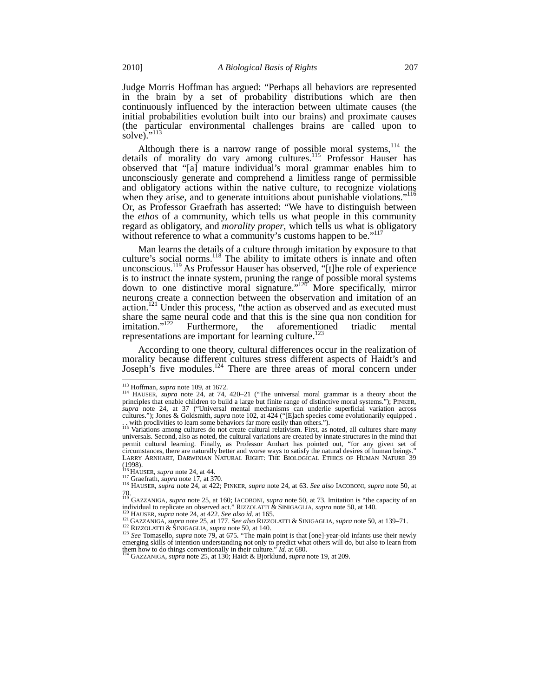Judge Morris Hoffman has argued: "Perhaps all behaviors are represented in the brain by a set of probability distributions which are then continuously influenced by the interaction between ultimate causes (the initial probabilities evolution built into our brains) and proximate causes (the particular environmental challenges brains are called upon to solve). $\cdot$ <sup>113</sup>

Although there is a narrow range of possible moral systems,  $114$  the details of morality do vary among cultures.<sup>115</sup> Professor Hauser has observed that "[a] mature individual's moral grammar enables him to unconsciously generate and comprehend a limitless range of permissible and obligatory actions within the native culture, to recognize violations when they arise, and to generate intuitions about punishable violations."<sup>116</sup> Or, as Professor Graefrath has asserted: "We have to distinguish between the *ethos* of a community, which tells us what people in this community regard as obligatory, and *morality proper*, which tells us what is obligatory without reference to what a community's customs happen to be."<sup>117</sup>

Man learns the details of a culture through imitation by exposure to that culture's social norms.<sup>118</sup> The ability to imitate others is innate and often unconscious.<sup>119</sup> As Professor Hauser has observed, "[t]he role of experience is to instruct the innate system, pruning the range of possible moral systems down to one distinctive moral signature."<sup>126</sup> More specifically, mirror neurons create a connection between the observation and imitation of an action.<sup>121</sup> Under this process, "the action as observed and as executed must share the same neural code and that this is the sine qua non condition for imitation." $122$  Furthermore, the aforementioned triadic mental Furthermore, the aforementioned triadic mental representations are important for learning culture.<sup>123</sup>

According to one theory, cultural differences occur in the realization of morality because different cultures stress different aspects of Haidt's and Joseph's five modules.<sup>124</sup> There are three areas of moral concern under

<sup>&</sup>lt;sup>113</sup> Hoffman, *supra* note 109, at 1672.<br><sup>114</sup> HAUSER, *supra* note 24, at 74, 420–21 ("The universal moral grammar is a theory about the principles that enable children to build a large but finite range of distinctive moral systems."); PINKER, *supra* note 24, at 37 ("Universal mental mechanisms can underlie superficial variation across cultures."); Jones & Goldsmith, *supra* note 102, at 424 ("[E]ach species come evolutionarily equipped . . . with proclivities to learn some behaviors far more easily than others."). <sup>115</sup> Variations among cultures do not create cultural relativism. First, as noted, all cultures share many

universals. Second, also as noted, the cultural variations are created by innate structures in the mind that permit cultural learning. Finally, as Professor Arnhart has pointed out, "for any given set of circumstances, there are naturally better and worse ways to satisfy the natural desires of human beings." LARRY ARNHART, DARWINIAN NATURAL RIGHT: THE BIOLOGICAL ETHICS OF HUMAN NATURE 39 (1998).<br>
<sup>116</sup> HAUSER, *supra* note 24, at 44.<br>
<sup>117</sup> Graefrath, *supra* note 17, at 370.

<sup>116</sup> HAUSER, *supra* note 24, at 44. <sup>117</sup> Graefrath, *supra* note 17, at 370. <sup>118</sup> HAUSER, *supra* note 24, at 422; PINKER, *supra* note 24, at 63. *See also* IACOBONI, *supra* note 50, at 70. <sup>119</sup> GAZZANIGA, *supra* note 25, at 160; IACOBONI, *supra* note 50, at 73. Imitation is "the capacity of an

individual to replicate an observed act." RIZZOLATTI & SINGAGLIA, supra note 50, at 140.<br>
<sup>120</sup> HAUSER, supra note 24, at 422. See also id. at 165.<br>
<sup>121</sup> GAZZANIGA, supra note 25, at 177. See also id. at 165.<br>
<sup>121</sup> GAZZA

emerging skills of intention understanding not only to predict what others will do, but also to learn from them how to do things conventionally in their culture." *Id.* at 680. <sup>124</sup> GAZZANIGA, *supra* note 25, at 130; Haidt & Bjorklund, *supra* note 19, at 209.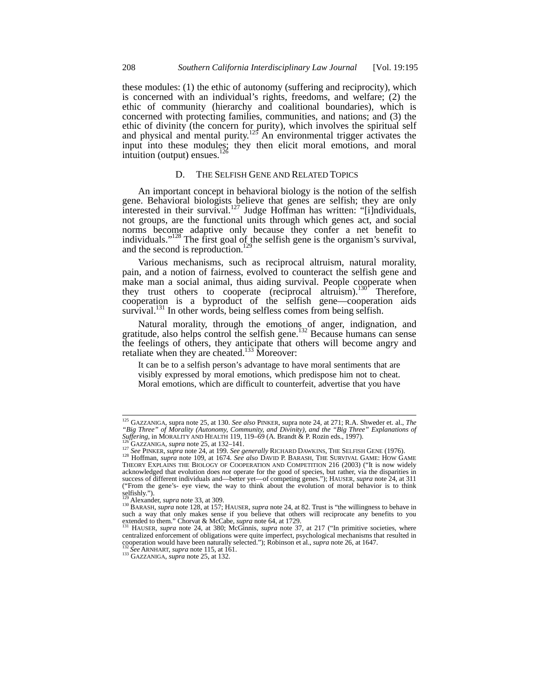these modules: (1) the ethic of autonomy (suffering and reciprocity), which is concerned with an individual's rights, freedoms, and welfare; (2) the ethic of community (hierarchy and coalitional boundaries), which is concerned with protecting families, communities, and nations; and (3) the ethic of divinity (the concern for purity), which involves the spiritual self and physical and mental purity.<sup>125</sup> An environmental trigger activates the input into these modules; they then elicit moral emotions, and moral intuition (output) ensues.<sup>1</sup>

# D. THE SELFISH GENE AND RELATED TOPICS

An important concept in behavioral biology is the notion of the selfish gene. Behavioral biologists believe that genes are selfish; they are only interested in their survival.<sup>127</sup> Judge Hoffman has written: "[i]ndividuals, not groups, are the functional units through which genes act, and social norms become adaptive only because they confer a net benefit to individuals."128 The first goal of the selfish gene is the organism's survival, and the second is reproduction.<sup>129</sup>

Various mechanisms, such as reciprocal altruism, natural morality, pain, and a notion of fairness, evolved to counteract the selfish gene and make man a social animal, thus aiding survival. People cooperate when they trust others to cooperate (reciprocal altruism).<sup>130</sup> Therefore, cooperation is a byproduct of the selfish gene—cooperation aids survival.<sup>131</sup> In other words, being selfless comes from being selfish.

Natural morality, through the emotions of anger, indignation, and gratitude, also helps control the selfish gene.<sup>132</sup> Because humans can sense the feelings of others, they anticipate that others will become angry and retaliate when they are cheated.<sup>133</sup> Moreover:

It can be to a selfish person's advantage to have moral sentiments that are visibly expressed by moral emotions, which predispose him not to cheat. Moral emotions, which are difficult to counterfeit, advertise that you have

<sup>125</sup> GAZZANIGA, supra note 25, at 130. *See also* PINKER, supra note 24, at 271; R.A. Shweder et. al., *The "Big Three" of Morality (Autonomy, Community, and Divinity), and the "Big Three" Explanations of Suffering,* in MORALITY AND HEALTH 119, 119-69 (A. Brandt & P. Rozin eds., 1997).<br><sup>126</sup> GAZZANIGA, *supra* note 25, at 132–141.<br><sup>126</sup> GAZZANIGA, *supra* note 25, at 132–141.<br><sup>127</sup> See PINKER, *supra* note 24, at 199. See

THEORY EXPLAINS THE BIOLOGY OF COOPERATION AND COMPETITION 216 (2003) ("It is now widely

acknowledged that evolution does *not* operate for the good of species, but rather, via the disparities in success of different individuals and—better yet—of competing genes."); HAUSER, *supra* note 24, at 311 ("From the gene's- eye view, the way to think about the evolution of moral behavior is to think selfishly.").  $\frac{129}{129}$  Alexander, *supra* note 33, at 309.

<sup>&</sup>lt;sup>130</sup> BARASH, *supra* note 128, at 157; HAUSER, *supra* note 24, at 82. Trust is "the willingness to behave in such a way that only makes sense if you believe that others will reciprocate any benefits to you extended to them." Chorvat & McCabe, *supra* note 64, at 1729.<br><sup>131</sup> HAUSER, *supra* note 24, at 380; McGinnis, *supra* note

<sup>&</sup>lt;sup>131</sup> HAUSER, *supra* note 24, at 380; McGinnis, *supra* note 37, at 217 ("In primitive societies, where centralized enforcement of obligations were quite imperfect, psychological mechanisms that resulted in cooperation would have been naturally selected."); Robinson et al., *supra* note 26, at 1647.<br><sup>132</sup> *See* ARNHART, *supra* note 115, at 161.<br><sup>133</sup> GAZZANIGA, *supra* note 25, at 132.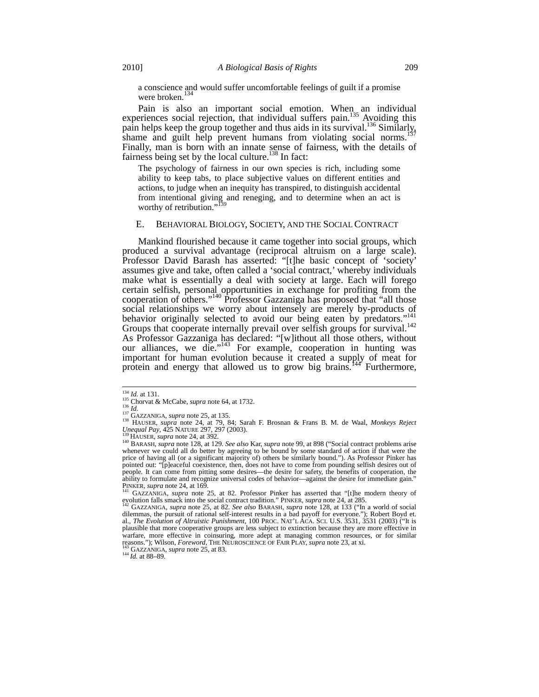a conscience and would suffer uncomfortable feelings of guilt if a promise were broken.<sup>134</sup>

Pain is also an important social emotion. When an individual experiences social rejection, that individual suffers pain.<sup>135</sup> Avoiding this pain helps keep the group together and thus aids in its survival.<sup>136</sup> Similarly, shame and guilt help prevent humans from violating social norms.<sup>137</sup> Finally, man is born with an innate sense of fairness, with the details of fairness being set by the local culture.<sup>138</sup> In fact:

The psychology of fairness in our own species is rich, including some ability to keep tabs, to place subjective values on different entities and actions, to judge when an inequity has transpired, to distinguish accidental from intentional giving and reneging, and to determine when an act is worthy of retribution."<sup>13</sup>

#### E. BEHAVIORAL BIOLOGY, SOCIETY, AND THE SOCIAL CONTRACT

Mankind flourished because it came together into social groups, which produced a survival advantage (reciprocal altruism on a large scale). Professor David Barash has asserted: "[t]he basic concept of 'society' assumes give and take, often called a 'social contract,' whereby individuals make what is essentially a deal with society at large. Each will forego certain selfish, personal opportunities in exchange for profiting from the cooperation of others."<sup>140</sup> Professor Gazzaniga has proposed that "all those social relationships we worry about intensely are merely by-products of behavior originally selected to avoid our being eaten by predators."<sup>141</sup> Groups that cooperate internally prevail over selfish groups for survival.<sup>142</sup> As Professor Gazzaniga has declared: "[w]ithout all those others, without our alliances, we die."<sup>143</sup> For example, cooperation in hunting was important for human evolution because it created a supply of meat for protein and energy that allowed us to grow big brains.<sup>144</sup> Furthermore,

 $^{134}$  *Id.* at 131.

<sup>&</sup>lt;sup>143</sup> Chorvat & McCabe, *supra* note 64, at 1732.<br>
<sup>135</sup> Chorvat & McCabe, *supra* note 25, at 135.<br>
<sup>137</sup> GAZZANIGA, *supra* note 25, at 135.<br>
<sup>138</sup> HAUSER, *supra* note 24, at 79, 84; Sarah F. Brosnan & Frans B. M. de W

<sup>&</sup>lt;sup>139</sup> HAUSER, *supra* note 24, at 392.<br><sup>140</sup> BARASH, *supra* note 128, at 129. *See also* Kar, *supra* note 99, at 898 ("Social contract problems arise whenever we could all do better by agreeing to be bound by some standard of action if that were the price of having all (or a significant majority of) others be similarly bound."). As Professor Pinker has pointed out: "[p]eaceful coexistence, then, does not have to come from pounding selfish desires out of people. It can come from pitting some desires—the desire for safety, the benefits of cooperation, the ability to formulate and recognize universal codes of behavior—against the desire for immediate gain."<br> $PINKER, supp = 141 \, \text{GeV}$  and  $\Lambda$  and  $\Lambda$  and  $\Lambda$  and  $\Lambda$  and  $\Lambda$  and  $\Lambda$  and  $\Lambda$  and  $\Lambda$  and  $\Lambda$  and  $\Lambda$  and  $\Lambda$ PINKER, *supra* note 24, at 169.<br><sup>141</sup> GAZZANIGA, *supra* note 25, at 82. Professor Pinker has asserted that "[t]he modern theory of

evolution falls smack into the social contract tradition." PINKER, *supra* note 24, at 285. <sup>142</sup> GAZZANIGA, *supra* note 25, at 82. *See also* BARASH, *supra* note 128, at 133 ("In a world of social

dilemmas, the pursuit of rational self-interest results in a bad payoff for everyone."); Robert Boyd et. al., *The Evolution of Altruistic Punishment*, 100 PROC. NAT'L ACA. SCI. U.S. 3531, 3531 (2003) ("It is plausible that more cooperative groups are less subject to extinction because they are more effective in warfare, more effective in coinsuring, more adept at managing common resources, or for similar reasons."); Wilson, *Foreword*, THE NEUROSCIENCE OF FAIR PLAY, *supra* note 23, at xi. 143 GAZZANIGA, *supra* note 25, at 83. 144 *Id.* at 88–89.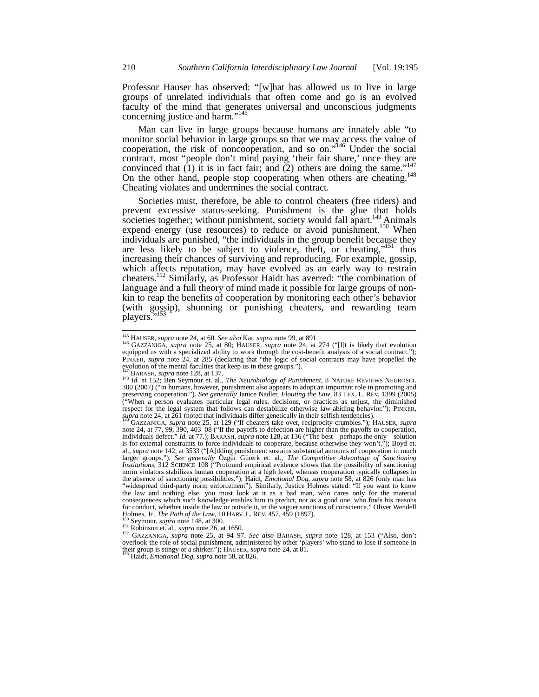Professor Hauser has observed: "[w]hat has allowed us to live in large groups of unrelated individuals that often come and go is an evolved faculty of the mind that generates universal and unconscious judgments concerning justice and harm."<sup>145</sup>

Man can live in large groups because humans are innately able "to monitor social behavior in large groups so that we may access the value of cooperation, the risk of noncooperation, and so on."<sup>146</sup> Under the social contract, most "people don't mind paying 'their fair share,' once they are convinced that (1) it is in fact fair; and (2) others are doing the same." $147$ On the other hand, people stop cooperating when others are cheating.<sup>148</sup> Cheating violates and undermines the social contract.

Societies must, therefore, be able to control cheaters (free riders) and prevent excessive status-seeking. Punishment is the glue that holds societies together; without punishment, society would fall apart.<sup>149</sup> Animals expend energy (use resources) to reduce or avoid punishment.<sup>150</sup> When individuals are punished, "the individuals in the group benefit because they are less likely to be subject to violence, theft, or cheating,"<sup>151</sup> thus increasing their chances of surviving and reproducing. For example, gossip, which affects reputation, may have evolved as an early way to restrain cheaters.152 Similarly, as Professor Haidt has averred: "the combination of language and a full theory of mind made it possible for large groups of nonkin to reap the benefits of cooperation by monitoring each other's behavior (with gossip), shunning or punishing cheaters, and rewarding team players."

<sup>&</sup>lt;sup>145</sup> HAUSER, *supra* note 24, at 60. See also Kar, *supra* note 99, at 891.

<sup>146</sup> GAZZANIGA, *supra* note 25, at 80; HAUSER, *supra* note 24, at 274 ("[I]t is likely that evolution equipped us with a specialized ability to work through the cost-benefit analysis of a social contract."); PINKER, *supra* note 24, at 285 (declaring that "the logic of social contracts may have propelled the evolution of the mental faculties that keep us in these groups.").<br><sup>147</sup> BARASH, *supra* note 128, at 137.

<sup>148</sup> *Id.* at 152; Ben Seymour et. al., *The Neurobiology of Punishment*, 8 NATURE REVIEWS NEUROSCI. 300 (2007) ("In humans, however, punishment also appears to adopt an important role in promoting and preserving cooperation."). *See generally* Janice Nadler, *Flouting the Law*, 83 TEX. L. REV. 1399 (2005) ("When a person evaluates particular legal rules, decisions, or practices as unjust, the diminished supra note 24, at  $\overline{261}$  (noted that individuals differ genetically in their selfish tendencies).<br><sup>149</sup> GAZZANIGA, *supra* note 25, at 129 ("If cheaters take over, reciprocity crumbles."); HAUSER, *supra* 

note 24, at 77, 99, 390, 403–08 ("If the payoffs to defection are higher than the payoffs to cooperation, individuals defect." *Id.* at 77.); BARASH, *supra* note 128, at 136 ("The best—perhaps the only—solution is for external constraints to force individuals to cooperate, because otherwise they won't."); Boyd et. al., *supra* note 142, at 3533 ("[A]dding punishment sustains substantial amounts of cooperation in much larger groups."). *See generally* Özgür Gürerk et. al., *The Competitive Advantage of Sanctioning Institutions*, 312 SCIENCE 108 ("Profound empirical evidence shows that the possibility of sanctioning norm violators stabilizes human cooperation at a high level, whereas cooperation typically collapses in the absence of sanctioning possibilities."); Haidt, *Emotional Dog*, *supra* note 58, at 826 (only man has "widespread third-party norm enforcement"). Similarly, Justice Holmes stated: "If you want to know the law and nothing else, you must look at it as a bad man, who cares only for the material consequences which such knowledge enables him to predict, not as a good one, who finds his reasons for conduct, whether inside the law or outside it, in the vaguer sanctions of conscience." Oliver Wendell Holmes, Jr., The Path of the Law, 10 HARV. L. REV. 457, 459 (1897).

<sup>&</sup>lt;sup>151</sup> Seymour, *supra* note 148, at 300.<br><sup>151</sup> Robinson et. al., *supra* note 26, at 1650.<br><sup>152</sup> GAZZANIGA, *supra* note 25, at 94–97. *See also* BARASH, *supra* note 128, at 153 ("Also, don't overlook the role of social punishment, administered by other 'players' who stand to lose if someone in their group is stingy or a shirker."); HAUSER, *supra* note 24, at 81. <sup>153</sup> Haidt, *Emotional Dog*, *supra* note 58, at 826.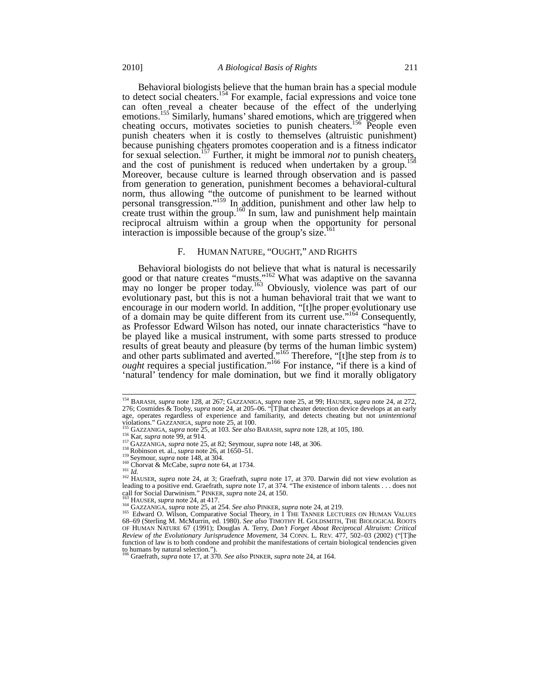Behavioral biologists believe that the human brain has a special module to detect social cheaters.<sup>154</sup> For example, facial expressions and voice tone can often reveal a cheater because of the effect of the underlying emotions.<sup>155</sup> Similarly, humans' shared emotions, which are triggered when cheating occurs, motivates societies to punish cheaters.<sup>156</sup> People even punish cheaters when it is costly to themselves (altruistic punishment) because punishing cheaters promotes cooperation and is a fitness indicator for sexual selection.157 Further, it might be immoral *not* to punish cheaters, and the cost of punishment is reduced when undertaken by a group.<sup>158</sup> Moreover, because culture is learned through observation and is passed from generation to generation, punishment becomes a behavioral-cultural norm, thus allowing "the outcome of punishment to be learned without personal transgression."159 In addition, punishment and other law help to create trust within the group.<sup>160</sup> In sum, law and punishment help maintain reciprocal altruism within a group when the opportunity for personal interaction is impossible because of the group's size.<sup>1</sup>

## F. HUMAN NATURE, "OUGHT," AND RIGHTS

Behavioral biologists do not believe that what is natural is necessarily good or that nature creates "musts."<sup>162</sup> What was adaptive on the savanna may no longer be proper today.<sup>163</sup> Obviously, violence was part of our evolutionary past, but this is not a human behavioral trait that we want to encourage in our modern world. In addition, "[t]he proper evolutionary use of a domain may be quite different from its current use."<sup>164</sup> Consequently, as Professor Edward Wilson has noted, our innate characteristics "have to be played like a musical instrument, with some parts stressed to produce results of great beauty and pleasure (by terms of the human limbic system) and other parts sublimated and averted."165 Therefore, "[t]he step from *is* to *ought* requires a special justification."166 For instance, "if there is a kind of 'natural' tendency for male domination, but we find it morally obligatory

<sup>154</sup> BARASH, *supra* note 128, at 267; GAZZANIGA, *supra* note 25, at 99; HAUSER, *supra* note 24, at 272, 276; Cosmides & Tooby, *supra* note 24, at 205–06. "[T]hat cheater detection device develops at an early age, operates regardless of experience and familiarity, and detects cheating but not *unintentional* violations." GAZZANIGA, *supra* note 25, at 100.

violations." GAZZANIGA, *supra* note 25, at 100.<br><sup>155</sup> GAZZANIGA, *supra* note 25, at 103. *See also* BARASH, *supra* note 128, at 105, 180.<br><sup>156</sup> Kar, *supra* note 99, at 914.<br><sup>157</sup> GAZZANIGA, *supra* note 25, at 82; Sey leading to a positive end. Graefrath, *supra* note 17, at 374. "The existence of inborn talents . . . does not

call for Social Darwinism." PINKER, *supra* note 24, at 150.<br><sup>163</sup> HAUSER, *supra* note 24, at 417.<br><sup>164</sup> GAZZANIGA, *supra* note 25, at 254. *See also* PINKER, *supra* note 24, at 219.<br><sup>165</sup> Edward O. Wilson, Comparative OF HUMAN NATURE 67 (1991); Douglas A. Terry, *Don't Forget About Reciprocal Altruism: Critical Review of the Evolutionary Jurisprudence Movement*, 34 CONN. L. REV. 477, 502–03 (2002) ("[T]he function of law is to both condone and prohibit the manifestations of certain biological tendencies given to humans by natural selection.").

<sup>166</sup> Graefrath, *supra* note 17, at 370. *See also* PINKER, *supra* note 24, at 164.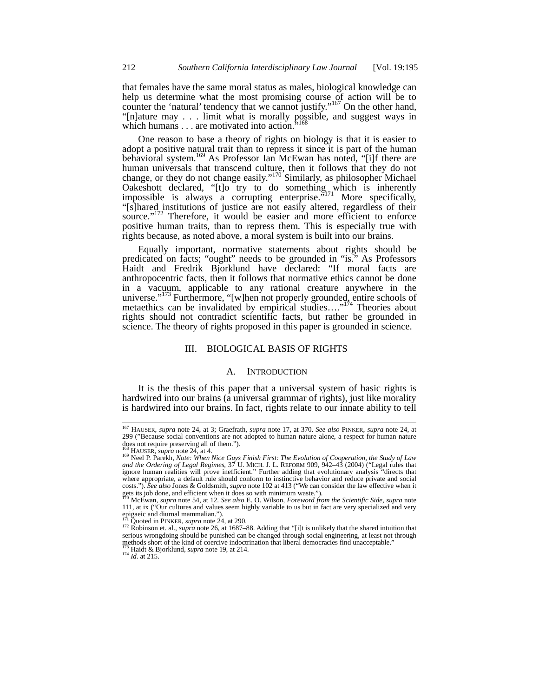that females have the same moral status as males, biological knowledge can help us determine what the most promising course of action will be to counter the 'natural' tendency that we cannot justify."<sup>167</sup> On the other hand, "[n]ature may . . . limit what is morally possible, and suggest ways in which humans . . . are motivated into action.<sup>5,168</sup>

One reason to base a theory of rights on biology is that it is easier to adopt a positive natural trait than to repress it since it is part of the human behavioral system.<sup>169</sup> As Professor Ian McEwan has noted, "[i]f there are human universals that transcend culture, then it follows that they do not change, or they do not change easily."<sup>170</sup> Similarly, as philosopher Michael Oakeshott declared, "[t]o try to do something which is inherently impossible is always a corrupting enterprise."171 More specifically, "[s]hared institutions of justice are not easily altered, regardless of their source."<sup>172</sup> Therefore, it would be easier and more efficient to enforce positive human traits, than to repress them. This is especially true with rights because, as noted above, a moral system is built into our brains.

Equally important, normative statements about rights should be predicated on facts; "ought" needs to be grounded in "is." As Professors Haidt and Fredrik Bjorklund have declared: "If moral facts are anthropocentric facts, then it follows that normative ethics cannot be done in a vacuum, applicable to any rational creature anywhere in the universe." $173$  Furthermore, "[w]hen not properly grounded, entire schools of metaethics can be invalidated by empirical studies...."<sup>174</sup> Theories about rights should not contradict scientific facts, but rather be grounded in science. The theory of rights proposed in this paper is grounded in science.

### III. BIOLOGICAL BASIS OF RIGHTS

## A. INTRODUCTION

It is the thesis of this paper that a universal system of basic rights is hardwired into our brains (a universal grammar of rights), just like morality is hardwired into our brains. In fact, rights relate to our innate ability to tell

<sup>167</sup> HAUSER, *supra* note 24, at 3; Graefrath, *supra* note 17, at 370. *See also* PINKER, *supra* note 24, at 299 ("Because social conventions are not adopted to human nature alone, a respect for human nature does not require preserving all of them.").<br><sup>168</sup> HAUSER, *supra* note 24, at 4.

<sup>168</sup> HAUSER, *supra* note 24, at 4. <sup>169</sup> Neel P. Parekh, *Note: When Nice Guys Finish First: The Evolution of Cooperation, the Study of Law and the Ordering of Legal Regimes*, 37 U. MICH. J. L. REFORM 909, 942–43 (2004) ("Legal rules that ignore human realities will prove inefficient." Further adding that evolutionary analysis "directs that where appropriate, a default rule should conform to instinctive behavior and reduce private and social costs."). *See also* Jones & Goldsmith, *supra* note 102 at 413 ("We can consider the law effective when it gets its job done, and efficient when it does so with minimum waste."). <sup>170</sup> McEwan, *supra* note 54, at 12. *See also* E. O. Wilson, *Foreword from the Scientific Side*, *supra* note

<sup>111,</sup> at ix ("Our cultures and values seem highly variable to us but in fact are very specialized and very epigaeic and diurnal mammalian.").<br><sup>171</sup> Quoted in PINKER, *supra* note 24, at 290.

<sup>&</sup>lt;sup>172</sup> Robinson et. al., *supra* note 26, at 1687–88. Adding that "[i]t is unlikely that the shared intuition that serious wrongdoing should be punished can be changed through social engineering, at least not through methods short of the kind of coercive indoctrination that liberal democracies find unacceptable." <sup>173</sup> Haidt & Bjorklund, *supra* note 19, at 214. <sup>174</sup> *Id.* at 215.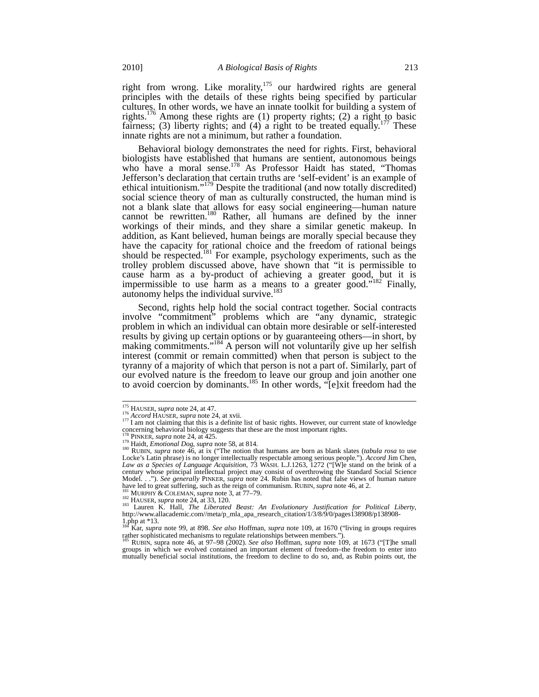right from wrong. Like morality,  $175$  our hardwired rights are general principles with the details of these rights being specified by particular cultures. In other words, we have an innate toolkit for building a system of rights.<sup>176</sup> Among these rights are (1) property rights; (2) a right to basic fairness; (3) liberty rights; and (4) a right to be treated equally.<sup>177</sup> These innate rights are not a minimum, but rather a foundation.

Behavioral biology demonstrates the need for rights. First, behavioral biologists have established that humans are sentient, autonomous beings who have a moral sense.<sup>178</sup> As Professor Haidt has stated, "Thomas Jefferson's declaration that certain truths are 'self-evident' is an example of ethical intuitionism."<sup>179</sup> Despite the traditional (and now totally discredited) social science theory of man as culturally constructed, the human mind is not a blank slate that allows for easy social engineering—human nature cannot be rewritten.<sup>180</sup> Rather, all humans are defined by the inner workings of their minds, and they share a similar genetic makeup. In addition, as Kant believed, human beings are morally special because they have the capacity for rational choice and the freedom of rational beings should be respected.<sup>181</sup> For example, psychology experiments, such as the trolley problem discussed above, have shown that "it is permissible to cause harm as a by-product of achieving a greater good, but it is impermissible to use harm as a means to a greater good."182 Finally, autonomy helps the individual survive.<sup>183</sup>

Second, rights help hold the social contract together. Social contracts involve "commitment" problems which are "any dynamic, strategic problem in which an individual can obtain more desirable or self-interested results by giving up certain options or by guaranteeing others—in short, by  $\frac{1}{2}$  making commitments.<sup>"184</sup> A person will not voluntarily give up her selfish interest (commit or remain committed) when that person is subject to the tyranny of a majority of which that person is not a part of. Similarly, part of our evolved nature is the freedom to leave our group and join another one to avoid coercion by dominants.<sup>185</sup> In other words, "[e]xit freedom had the

l

groups in which we evolved contained an important element of freedom–the freedom to enter into mutually beneficial social institutions, the freedom to decline to do so, and, as Rubin points out, the

<sup>&</sup>lt;sup>175</sup> HAUSER, *supra* note 24, at 47.<br><sup>176</sup> *Accord* HAUSER, *supra* note 24, at xvii.<br><sup>177</sup> I am not claiming that this is a definite list of basic rights. However, our current state of knowledge concerning behavioral biology suggests that these are the most important rights. 178 PINKER, *supra* note 24, at 425.<br><sup>178</sup> PINKER, *supra* note 24, at 425.<br><sup>179</sup> Haidt, *Emotional Dog*, *supra* note 58, at 814.<br><sup>180</sup> RUBIN, *supra* note 46, at ix ("The notion that humans are born as blank slates (*tab* 

Locke's Latin phrase) is no longer intellectually respectable among serious people."). *Accord* Jim Chen, *Law as a Species of Language Acquisition*, 73 WASH. L.J.1263, 1272 ("[W]e stand on the brink of a century whose principal intellectual project may consist of overthrowing the Standard Social Science Model. . ."). *See generally* PINKER, *supra* note 24. Rubin has noted that false views of human nature have led to great suffering, such as the reign of communism. RUBIN, *supra* note 46, at 2.<br><sup>181</sup> MURPHY & COLEMAN, *supra* note 3, at 77–79.<br><sup>182</sup> HAUSER, *supra* note 24, at 33, 120.<br><sup>183</sup> Lauren K. Hall, *The Liberated B* 

http://www.allacademic.com//meta/p\_mla\_apa\_research\_citation/1/3/8/9/0/pages138908/p138908- 1.php at  $*13$ .

<sup>184</sup> Kar, *supra* note 99, at 898. *See also* Hoffman, *supra* note 109, at 1670 ("living in groups requires rather sophisticated mechanisms to regulate relationships between members."). <sup>185</sup> RUBIN, supra note 46, at 97–98 (2002). *See also* Hoffman, *supra* note 109, at 1673 ("[T]he small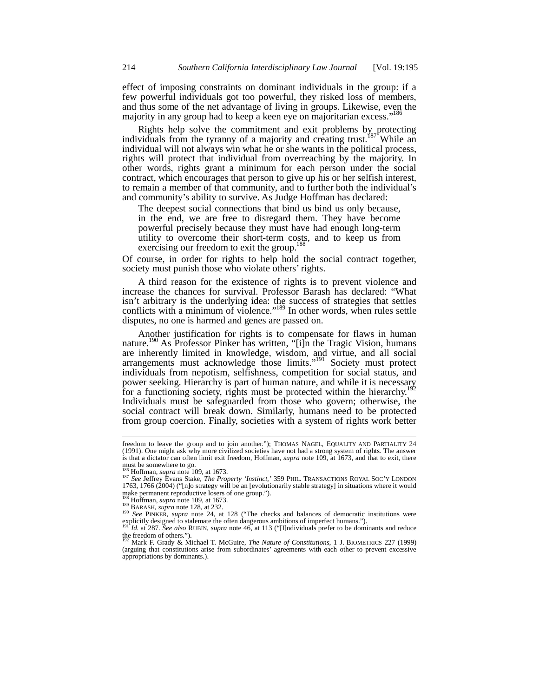effect of imposing constraints on dominant individuals in the group: if a few powerful individuals got too powerful, they risked loss of members, and thus some of the net advantage of living in groups. Likewise, even the majority in any group had to keep a keen eye on majoritarian excess."<sup>186</sup>

Rights help solve the commitment and exit problems by protecting individuals from the tyranny of a majority and creating trust.<sup>187</sup> While an individual will not always win what he or she wants in the political process, rights will protect that individual from overreaching by the majority. In other words, rights grant a minimum for each person under the social contract, which encourages that person to give up his or her selfish interest, to remain a member of that community, and to further both the individual's and community's ability to survive. As Judge Hoffman has declared:

The deepest social connections that bind us bind us only because, in the end, we are free to disregard them. They have become powerful precisely because they must have had enough long-term utility to overcome their short-term costs, and to keep us from exercising our freedom to exit the group.<sup>188</sup>

Of course, in order for rights to help hold the social contract together, society must punish those who violate others' rights.

A third reason for the existence of rights is to prevent violence and increase the chances for survival. Professor Barash has declared: "What isn't arbitrary is the underlying idea: the success of strategies that settles conflicts with a minimum of violence."<sup>189</sup> In other words, when rules settle disputes, no one is harmed and genes are passed on.

Another justification for rights is to compensate for flaws in human nature.<sup>190</sup> As Professor Pinker has written, "[i]n the Tragic Vision, humans are inherently limited in knowledge, wisdom, and virtue, and all social arrangements must acknowledge those limits."<sup>191</sup> Society must protect individuals from nepotism, selfishness, competition for social status, and power seeking. Hierarchy is part of human nature, and while it is necessary for a functioning society, rights must be protected within the hierarchy.<sup>192</sup> Individuals must be safeguarded from those who govern; otherwise, the social contract will break down. Similarly, humans need to be protected from group coercion. Finally, societies with a system of rights work better

freedom to leave the group and to join another."); THOMAS NAGEL, EQUALITY AND PARTIALITY 24 (1991). One might ask why more civilized societies have not had a strong system of rights. The answer is that a dictator can often limit exit freedom, Hoffman, *supra* note 109, at 1673, and that to exit, there must be somewhere to go.

<sup>186</sup> Hoffman, *supra* note 109, at 1673. <sup>187</sup> *See* Jeffrey Evans Stake, *The Property 'Instinct*,*'* 359 PHIL. TRANSACTIONS ROYAL SOC'Y LONDON 1763, 1766 (2004) ("[n]o strategy will be an [evolutionarily stable strategy] in situations where it would make permanent reproductive losers of one group.").<br><sup>188</sup> Hoffman, *supra* note 109, at 1673.

<sup>189</sup> BARASH, *supra* note 128, at 232.<br><sup>190</sup> *See PINKER, supra* note 24, at 128 ("The checks and balances of democratic institutions were explicitly designed to stalemate the often dangerous ambitions of imperfect humans.").

<sup>191</sup> *Id.* at 287. *See also* RUBIN, *supra* note 46, at 113 ("[I]ndividuals prefer to be dominants and reduce the freedom of others."

<sup>192</sup> Mark F. Grady & Michael T. McGuire, *The Nature of Constitutions*, 1 J. BIOMETRICS 227 (1999) (arguing that constitutions arise from subordinates' agreements with each other to prevent excessive appropriations by dominants.).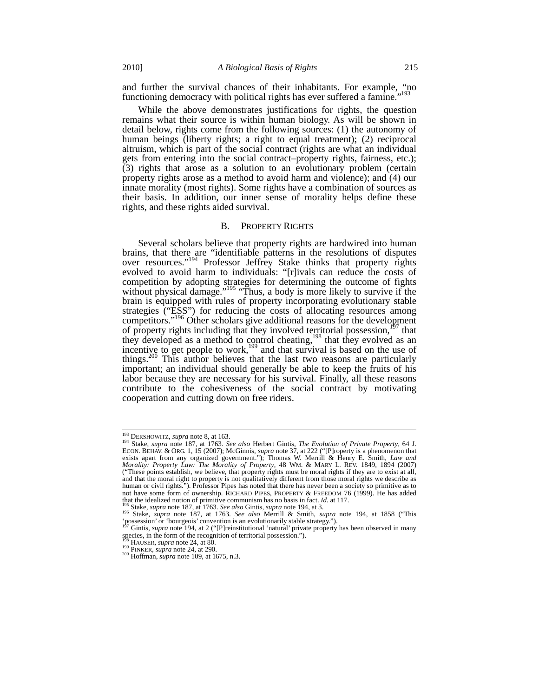and further the survival chances of their inhabitants. For example, "no functioning democracy with political rights has ever suffered a famine."<sup>193</sup>

While the above demonstrates justifications for rights, the question remains what their source is within human biology. As will be shown in detail below, rights come from the following sources: (1) the autonomy of human beings (liberty rights; a right to equal treatment); (2) reciprocal altruism, which is part of the social contract (rights are what an individual gets from entering into the social contract–property rights, fairness, etc.); (3) rights that arose as a solution to an evolutionary problem (certain property rights arose as a method to avoid harm and violence); and (4) our innate morality (most rights). Some rights have a combination of sources as their basis. In addition, our inner sense of morality helps define these rights, and these rights aided survival.

#### B. PROPERTY RIGHTS

Several scholars believe that property rights are hardwired into human brains, that there are "identifiable patterns in the resolutions of disputes over resources."<sup>194</sup> Professor Jeffrey Stake thinks that property rights evolved to avoid harm to individuals: "[r]ivals can reduce the costs of competition by adopting strategies for determining the outcome of fights without physical damage."<sup>195</sup> "Thus, a body is more likely to survive if the brain is equipped with rules of property incorporating evolutionary stable strategies ("ESS") for reducing the costs of allocating resources among competitors."<sup>196</sup> Other scholars give additional reasons for the development of property rights including that they involved territorial possession, $197$  that they developed as a method to control cheating,<sup>198</sup> that they evolved as an incentive to get people to work,<sup>199</sup> and that survival is based on the use of things.<sup>200</sup> This author believes that the last two reasons are particularly important; an individual should generally be able to keep the fruits of his labor because they are necessary for his survival. Finally, all these reasons contribute to the cohesiveness of the social contract by motivating cooperation and cutting down on free riders.

<sup>&</sup>lt;sup>193</sup> DERSHOWITZ, *supra* note 8, at 163.

<sup>193</sup> DERSHOWITZ, *supra* note 8, at 163. <sup>194</sup> Stake, *supra* note 187, at 1763. *See also* Herbert Gintis, *The Evolution of Private Property*, 64 J. ECON. BEHAV. & ORG. 1, 15 (2007); McGinnis, *supra* note 37, at 222 ("[P]roperty is a phenomenon that exists apart from any organized government."); Thomas W. Merrill & Henry E. Smith, *Law and Morality: Property Law: The Morality of Property*, 48 WM. & MARY L. REV. 1849, 1894 (2007) ("These points establish, we believe, that property rights must be moral rights if they are to exist at all, and that the moral right to property is not qualitatively different from those moral rights we describe as human or civil rights."). Professor Pipes has noted that there has never been a society so primitive as to not have some form of ownership. RICHARD PIPES, PROPERTY & FREEDOM 76 (1999). He has added that the idealized notion of primitive communism has no basis in fact. *Id.* at 117.

<sup>&</sup>lt;sup>195</sup> Stake, *supra* note 187, at 1763. *See also* Gintis, *supra* note 194, at 3.<br><sup>196</sup> Stake, *supra* note 187, at 1763. *See also* Merrill & Smith, *supra* note 194, at 1858 ("This 'possession' or 'bourgeois' convention is an evolutionarily stable strategy."). <sup>197</sup> Gintis, *supra* note 194, at 2 ("[P]reinstitutional 'natural' private property has been observed in many

species, in the form of the recognition of territorial possession.").  $\frac{198}{108}$  HAUSER, *supra* note 24, at 80.

<sup>199</sup> PINKER, *supra* note 24, at 290.<br><sup>200</sup> Hoffman, *supra* note 109, at 1675, n.3.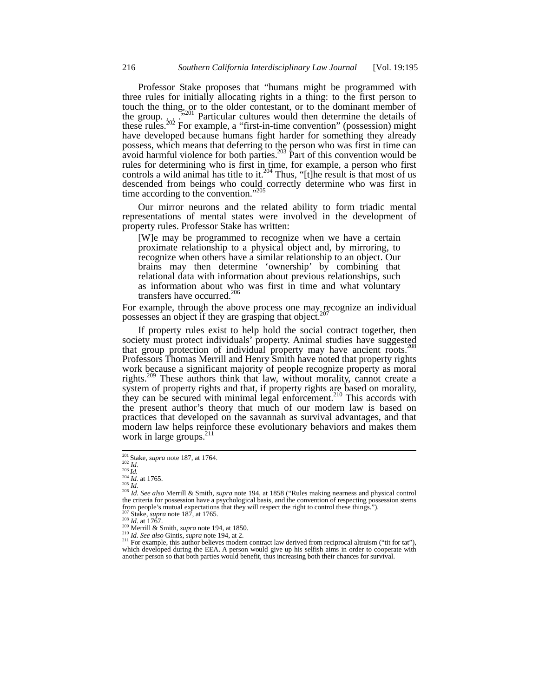Professor Stake proposes that "humans might be programmed with three rules for initially allocating rights in a thing: to the first person to touch the thing, or to the older contestant, or to the dominant member of the group.  $\frac{5,201}{1}$  Particular cultures would then determine the details of these rules.<sup>202</sup> For example, a "first-in-time convention" (possession) might have developed because humans fight harder for something they already possess, which means that deferring to the person who was first in time can avoid harmful violence for both parties.<sup>203</sup> Part of this convention would be rules for determining who is first in time, for example, a person who first controls a wild animal has title to it.<sup>204</sup> Thus, "[t]he result is that most of us descended from beings who could correctly determine who was first in time according to the convention."<sup>205</sup>

Our mirror neurons and the related ability to form triadic mental representations of mental states were involved in the development of property rules. Professor Stake has written:

[W]e may be programmed to recognize when we have a certain proximate relationship to a physical object and, by mirroring, to recognize when others have a similar relationship to an object. Our brains may then determine 'ownership' by combining that relational data with information about previous relationships, such as information about who was first in time and what voluntary transfers have occurred.<sup>206</sup>

For example, through the above process one may recognize an individual possesses an object if they are grasping that object.

If property rules exist to help hold the social contract together, then society must protect individuals' property. Animal studies have suggested that group protection of individual property may have ancient roots.<sup>208</sup> Professors Thomas Merrill and Henry Smith have noted that property rights work because a significant majority of people recognize property as moral rights.209 These authors think that law, without morality, cannot create a system of property rights and that, if property rights are based on morality, they can be secured with minimal legal enforcement.<sup>210</sup> This accords with the present author's theory that much of our modern law is based on practices that developed on the savannah as survival advantages, and that modern law helps reinforce these evolutionary behaviors and makes them work in large groups.<sup>211</sup>

 $rac{201}{202}$ Stake, *supra* note 187, at 1764.

<sup>&</sup>lt;sup>200</sup> *Id.*<br>2014 *Id.* at 1765.<br><sup>204</sup> *Id.* at 1765.<br><sup>206</sup> *Id.* See also Merrill & Smith, supra note 194, at 1858 ("Rules making nearness and physical control the criteria for possession have a psychological basis, and the convention of respecting possession stems from people's mutual expectations that they will respect the right to control these things.").

<sup>&</sup>lt;sup>207</sup> Stake, *supra* note 187, at 1765.<br><sup>208</sup> *Id.* at 1767.<br><sup>209</sup> Merrill & Smith, *supra* note 194, at 1850.<br><sup>210</sup> *Id. See also* Gintis, *supra* note 194, at 2.<br><sup>211</sup> For example, this author believes modern contract l which developed during the EEA. A person would give up his selfish aims in order to cooperate with another person so that both parties would benefit, thus increasing both their chances for survival.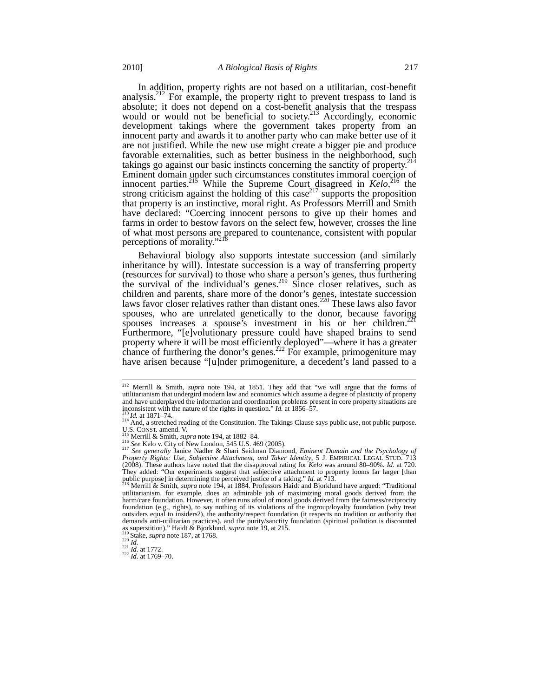In addition, property rights are not based on a utilitarian, cost-benefit analysis.<sup>212</sup> For example, the property right to prevent trespass to land is absolute; it does not depend on a cost-benefit analysis that the trespass would or would not be beneficial to society. $213$  Accordingly, economic development takings where the government takes property from an innocent party and awards it to another party who can make better use of it are not justified. While the new use might create a bigger pie and produce favorable externalities, such as better business in the neighborhood, such takings go against our basic instincts concerning the sanctity of property.<sup>214</sup> Eminent domain under such circumstances constitutes immoral coercion of innocent parties.<sup>215</sup> While the Supreme Court disagreed in *Kelo*,<sup>216</sup> the strong criticism against the holding of this case<sup>217</sup> supports the proposition that property is an instinctive, moral right. As Professors Merrill and Smith have declared: "Coercing innocent persons to give up their homes and farms in order to bestow favors on the select few, however, crosses the line of what most persons are prepared to countenance, consistent with popular perceptions of morality."<sup>218</sup>

Behavioral biology also supports intestate succession (and similarly inheritance by will). Intestate succession is a way of transferring property (resources for survival) to those who share a person's genes, thus furthering the survival of the individual's genes.<sup>219</sup> Since closer relatives, such as children and parents, share more of the donor's genes, intestate succession laws favor closer relatives rather than distant ones.<sup>220</sup> These laws also favor spouses, who are unrelated genetically to the donor, because favoring spouses increases a spouse's investment in his or her children.<sup>221</sup> Furthermore, "[e]volutionary pressure could have shaped brains to send property where it will be most efficiently deployed"—where it has a greater chance of furthering the donor's genes.<sup> $222$ </sup> For example, primogeniture may have arisen because "[u]nder primogeniture, a decedent's land passed to a

<sup>212</sup> Merrill & Smith, *supra* note 194, at 1851. They add that "we will argue that the forms of utilitarianism that undergird modern law and economics which assume a degree of plasticity of property and have underplayed the information and coordination problems present in core property situations are inconsistent with the nature of the rights in question." *Id.* at 1856–57.

Its *Id.* at 1871–74.<br><sup>214</sup> And, a stretched reading of the Constitution. The Takings Clause says public *use*, not public purpose.<br>215. CONST, amend. V.

U.S. CONST. amend. V.<br><sup>215</sup> Merrill & Smith, *supra* note 194, at 1882–84.<br><sup>216</sup> See Kelo v. City of New London, 545 U.S. 469 (2005).<br><sup>217</sup> See generally Janice Nadler & Shari Seidman Diamond, *Eminent Domain and the Psych* (2008). These authors have noted that the disapproval rating for *Kelo* was around 80–90%. *Id.* at 720. They added: "Our experiments suggest that subjective attachment to property looms far larger [than public purpose] in determining the perceived justice of a taking." *Id.* at 713.<br><sup>218</sup> Merrill & Smith, *supra* note 194,

utilitarianism, for example, does an admirable job of maximizing moral goods derived from the harm/care foundation. However, it often runs afoul of moral goods derived from the fairness/reciprocity foundation (e.g., rights), to say nothing of its violations of the ingroup/loyalty foundation (why treat outsiders equal to insiders?), the authority/respect foundation (it respects no tradition or authority that demands anti-utilitarian practices), and the purity/sanctity foundation (spiritual pollution is discounted as superstition)." Haidt & Bjorklund, *supra* note 19, at 215.

as superstition)." Haidt & Bjorklund, *supra* note 19, at 215. 219 Stake, *supra* note 187, at 1768. <sup>220</sup> *Id.* <sup>221</sup> *Id.* at 1772. <sup>222</sup> *Id.* at 1769–70.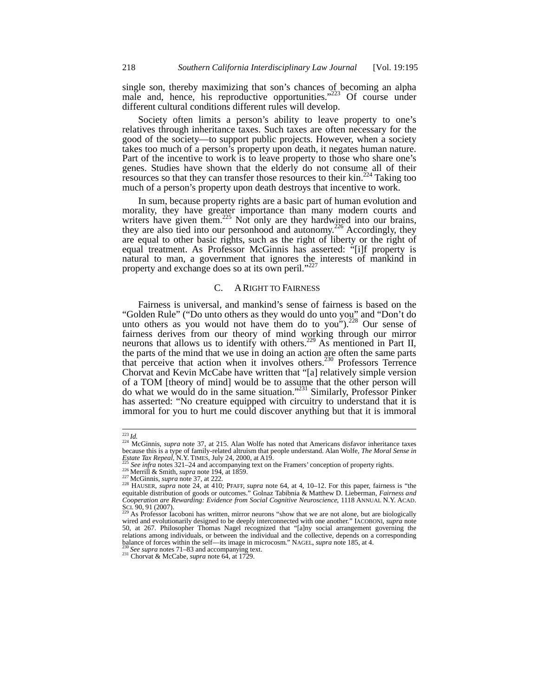single son, thereby maximizing that son's chances of becoming an alpha male and, hence, his reproductive opportunities."<sup>223</sup> Of course under different cultural conditions different rules will develop.

Society often limits a person's ability to leave property to one's relatives through inheritance taxes. Such taxes are often necessary for the good of the society—to support public projects. However, when a society takes too much of a person's property upon death, it negates human nature. Part of the incentive to work is to leave property to those who share one's genes. Studies have shown that the elderly do not consume all of their resources so that they can transfer those resources to their kin.<sup>224</sup> Taking too much of a person's property upon death destroys that incentive to work.

In sum, because property rights are a basic part of human evolution and morality, they have greater importance than many modern courts and writers have given them.<sup>225</sup> Not only are they hardwired into our brains, they are also tied into our personhood and autonomy.<sup>226</sup> Accordingly, they are equal to other basic rights, such as the right of liberty or the right of equal treatment. As Professor McGinnis has asserted: "[i]f property is natural to man, a government that ignores the interests of mankind in property and exchange does so at its own peril."<sup>227</sup>

#### C. A RIGHT TO FAIRNESS

Fairness is universal, and mankind's sense of fairness is based on the "Golden Rule" ("Do unto others as they would do unto you" and "Don't do unto others as you would not have them do to you").<sup>228</sup> Our sense of fairness derives from our theory of mind working through our mirror neurons that allows us to identify with others.<sup>229</sup> As mentioned in Part II, the parts of the mind that we use in doing an action are often the same parts that perceive that action when it involves others.<sup>230</sup> Professors Terrence Chorvat and Kevin McCabe have written that "[a] relatively simple version of a TOM [theory of mind] would be to assume that the other person will do what we would do in the same situation."231 Similarly, Professor Pinker has asserted: "No creature equipped with circuitry to understand that it is immoral for you to hurt me could discover anything but that it is immoral

<sup>223</sup> *Id.* <sup>224</sup> McGinnis, *supra* note 37, at 215. Alan Wolfe has noted that Americans disfavor inheritance taxes because this is a type of family-related altruism that people understand. Alan Wolfe, *The Moral Sense in Estate Tax Repeal*, N.Y. TIMES, July 24, 2000, at A19.<br> *Estate Tax Repeal*, N.Y. TIMES, July 24, 2000, at A19.

<sup>&</sup>lt;sup>225</sup> See infra notes 321–24 and accompanying text on the Framers' conception of property rights.<br><sup>226</sup> Merrill & Smith, *supra* note 194, at 1859.<br><sup>227</sup> McGinnis, *supra* note 37, at 222.<br><sup>228</sup> HAUSER, *supra* note 24, a equitable distribution of goods or outcomes." Golnaz Tabibnia & Matthew D. Lieberman, *Fairness and Cooperation are Rewarding: Evidence from Social Cognitive Neuroscience*, 1118 ANNUAL N.Y. ACAD. SCI. 90, 91 (2007).<br>
SCI. 90, 91 (2007).<br>
<sup>229</sup> As Professor Iacoboni has written, mirror neurons "show that we are not alone, but are biologically

wired and evolutionarily designed to be deeply interconnected with one another." IACOBONI, *supra* note 50, at 267. Philosopher Thomas Nagel recognized that "[a]ny social arrangement governing the relations among individuals, or between the individual and the collective, depends on a corresponding balance of forces within the self—its image in microcosm." NAGEL, *supra* note 185, at 4. <sup>230</sup> *See supra* notes 71–83 and accompanying text. <sup>231</sup> Chorvat & McCabe, *supra* note 64, at 1729.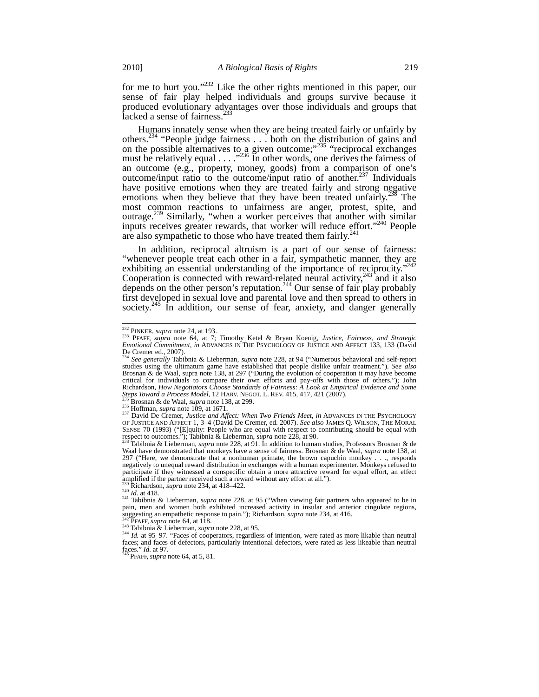for me to hurt you." $^{322}$  Like the other rights mentioned in this paper, our sense of fair play helped individuals and groups survive because it produced evolutionary advantages over those individuals and groups that lacked a sense of fairness.<sup>233</sup>

Humans innately sense when they are being treated fairly or unfairly by others.234 "People judge fairness . . . both on the distribution of gains and on the possible alternatives to a given outcome;<sup> $235$ </sup> "reciprocal exchanges" must be relatively equal  $\ldots$ .  $^{236}$  In other words, one derives the fairness of an outcome (e.g., property, money, goods) from a comparison of one's outcome/input ratio to the outcome/input ratio of another.<sup>237</sup> Individuals have positive emotions when they are treated fairly and strong negative emotions when they believe that they have been treated unfairly.<sup>238</sup> The most common reactions to unfairness are anger, protest, spite, and outrage.239 Similarly, "when a worker perceives that another with similar inputs receives greater rewards, that worker will reduce effort."<sup>240</sup> People are also sympathetic to those who have treated them fairly.<sup>241</sup>

In addition, reciprocal altruism is a part of our sense of fairness: "whenever people treat each other in a fair, sympathetic manner, they are exhibiting an essential understanding of the importance of reciprocity. $1242$ Cooperation is connected with reward-related neural activity,  $243 \text{ rad}$  it also depends on the other person's reputation.<sup>244</sup> Our sense of fair play probably first developed in sexual love and parental love and then spread to others in society.<sup>245</sup> In addition, our sense of fear, anxiety, and danger generally

<sup>&</sup>lt;sup>232</sup> PINKER, *supra* note 24, at 193.

<sup>232</sup> PINKER, *supra* note 24, at 193. <sup>233</sup> PFAFF, *supra* note 64, at 7; Timothy Ketel & Bryan Koenig, *Justice, Fairness, and Strategic Emotional Commitment*, *in* ADVANCES IN THE PSYCHOLOGY OF JUSTICE AND AFFECT 133, 133 (David

De Cremer ed., 2007). <sup>234</sup> *See generally* Tabibnia & Lieberman, *supra* note 228, at 94 ("Numerous behavioral and self-report studies using the ultimatum game have established that people dislike unfair treatment."). *See also* Brosnan & de Waal, supra note 138, at 297 ("During the evolution of cooperation it may have become critical for individuals to compare their own efforts and pay-offs with those of others."); John Richardson, *How Negotiators Choose Standards of Fairness: A Look at Empirical Evidence and Some* 

<sup>&</sup>lt;sup>235</sup> Brosnan & de Waal, *supra* note 138, at 299.<br><sup>236</sup> Hoffman, *supra* note 109, at 1671.<br><sup>237</sup> David De Cremer, *Justice and Affect: When Two Friends Meet*, *in* ADVANCES IN THE PSYCHOLOGY OF JUSTICE AND AFFECT 1, 3–4 (David De Cremer, ed. 2007). *See also* JAMES Q. WILSON, THE MORAL SENSE 70 (1993) ("[E]quity: People who are equal with respect to contributing should be equal with respect to outcomes."); Tabibnia & Lieberman, *supra* note 228, at 90.<br><sup>238</sup> Tabibnia & Lieberman, *supra* note 228, at 91.

Waal have demonstrated that monkeys have a sense of fairness. Brosnan & de Waal, *supra* note 138, at 297 ("Here, we demonstrate that a nonhuman primate, the brown capuchin monkey  $\dots$ , responds negatively to unequal reward distribution in exchanges with a human experimenter. Monkeys refused to participate if they witnessed a conspecific obtain a more attractive reward for equal effort, an effect amplified if the partner received such a reward without any effort at all.").<br><sup>239</sup> Richardson, *supra* note 234, at 418–422.<br><sup>240</sup> Id. at 418.

 $\frac{241}{241}$  Tabibnia & Lieberman, *supra* note 228, at 95 ("When viewing fair partners who appeared to be in pain, men and women both exhibited increased activity in insular and anterior cingulate regions, suggesting an empathetic response to pain."); Richardson, *supra* note 234, at 416.<br><sup>242</sup> PFAFF, *supra* note 64, at 118.<br><sup>243</sup> Tabibnia & Lieberman, *supra* note 228, at 95.<br><sup>243</sup> Tabibnia & Lieberman, *supra* note 228,

faces; and faces of defectors, particularly intentional defectors, were rated as less likeable than neutral faces." *Id.* at 97. <sup>245</sup> PFAFF, *supra* note 64, at 5, 81.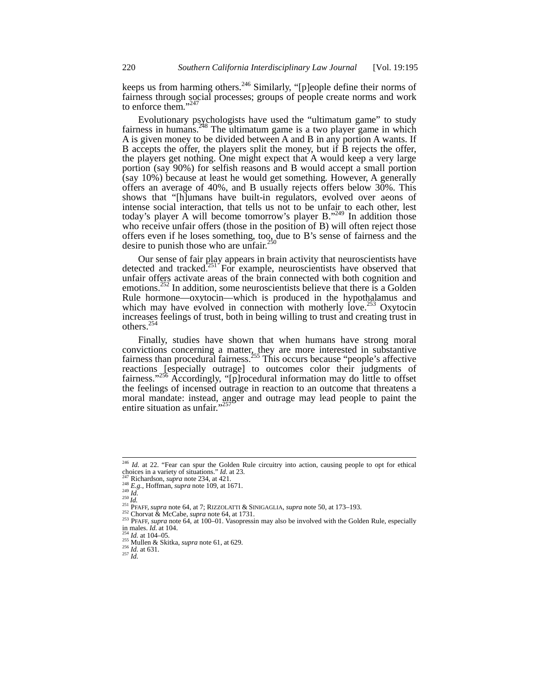keeps us from harming others.<sup>246</sup> Similarly, "[p]eople define their norms of fairness through social processes; groups of people create norms and work to enforce them."<sup>247</sup>

Evolutionary psychologists have used the "ultimatum game" to study fairness in humans.<sup>248</sup> The ultimatum game is a two player game in which A is given money to be divided between A and B in any portion A wants. If B accepts the offer, the players split the money, but if B rejects the offer, the players get nothing. One might expect that A would keep a very large portion (say 90%) for selfish reasons and B would accept a small portion (say 10%) because at least he would get something. However, A generally offers an average of 40%, and B usually rejects offers below 30%. This shows that "[h]umans have built-in regulators, evolved over aeons of intense social interaction, that tells us not to be unfair to each other, lest today's player A will become tomorrow's player B.<sup>"249</sup> In addition those who receive unfair offers (those in the position of B) will often reject those offers even if he loses something, too, due to B's sense of fairness and the desire to punish those who are unfair. $^{250}$ 

Our sense of fair play appears in brain activity that neuroscientists have detected and tracked.<sup>251</sup> For example, neuroscientists have observed that unfair offers activate areas of the brain connected with both cognition and emotions.<sup>252</sup> In addition, some neuroscientists believe that there is a Golden Rule hormone—oxytocin—which is produced in the hypothalamus and which may have evolved in connection with motherly love.<sup>253</sup> Oxytocin increases feelings of trust, both in being willing to trust and creating trust in others.<sup>2</sup>

Finally, studies have shown that when humans have strong moral convictions concerning a matter, they are more interested in substantive fairness than procedural fairness.<sup>255</sup> This occurs because "people's affective reactions [especially outrage] to outcomes color their judgments of fairness."256 Accordingly, "[p]rocedural information may do little to offset the feelings of incensed outrage in reaction to an outcome that threatens a moral mandate: instead, anger and outrage may lead people to paint the entire situation as unfair." $^{25}$ 

 $\overline{a}$ 

<sup>&</sup>lt;sup>246</sup> *Id.* at 22. "Fear can spur the Golden Rule circuitry into action, causing people to opt for ethical

choices in a variety of situations." *Id.* at 23.<br>
<sup>247</sup> Richardson, *supra* note 234, at 421.<br>
<sup>248</sup> E.g., Hoffman, *supra* note 109, at 1671.<br>
<sup>250</sup> *Id.*<br>
<sup>251</sup> PEAFF, *supra* note 64, at 7; RIZZOLATTI & SINIGAGLIA, *s* 

in males. *Id.* at 104. <sup>254</sup> *Id.* at 104–05. <sup>255</sup> Mullen & Skitka, *supra* note 61, at 629. <sup>256</sup> *Id.* at 631. <sup>257</sup> *Id.*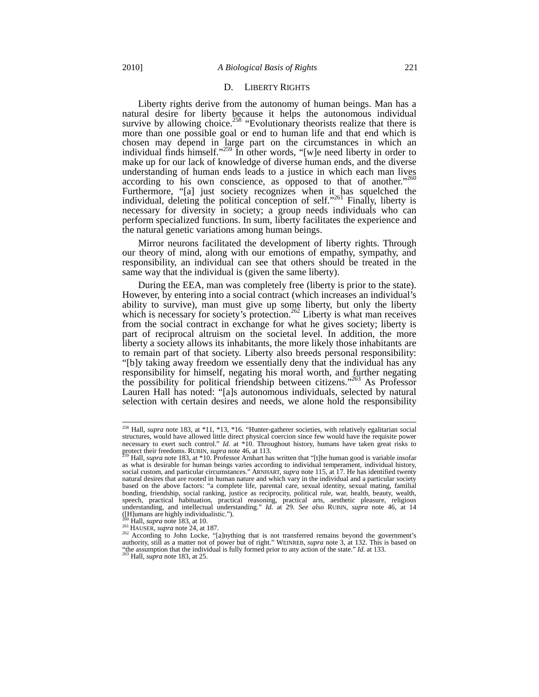#### D. LIBERTY RIGHTS

Liberty rights derive from the autonomy of human beings. Man has a natural desire for liberty because it helps the autonomous individual survive by allowing choice.<sup>258</sup> "Evolutionary theorists realize that there is more than one possible goal or end to human life and that end which is chosen may depend in large part on the circumstances in which an individual finds himself."<sup>259</sup> In other words, "[w]e need liberty in order to make up for our lack of knowledge of diverse human ends, and the diverse understanding of human ends leads to a justice in which each man lives according to his own conscience, as opposed to that of another."260 Furthermore, "[a] just society recognizes when it has squelched the individual, deleting the political conception of self."<sup>261</sup> Finally, liberty is necessary for diversity in society; a group needs individuals who can perform specialized functions. In sum, liberty facilitates the experience and the natural genetic variations among human beings.

Mirror neurons facilitated the development of liberty rights. Through our theory of mind, along with our emotions of empathy, sympathy, and responsibility, an individual can see that others should be treated in the same way that the individual is (given the same liberty).

During the EEA, man was completely free (liberty is prior to the state). However, by entering into a social contract (which increases an individual's ability to survive), man must give up some liberty, but only the liberty which is necessary for society's protection.<sup>262</sup> Liberty is what man receives from the social contract in exchange for what he gives society; liberty is part of reciprocal altruism on the societal level. In addition, the more liberty a society allows its inhabitants, the more likely those inhabitants are to remain part of that society. Liberty also breeds personal responsibility: "[b]y taking away freedom we essentially deny that the individual has any responsibility for himself, negating his moral worth, and further negating the possibility for political friendship between citizens."263 As Professor Lauren Hall has noted: "[a]s autonomous individuals, selected by natural selection with certain desires and needs, we alone hold the responsibility

<sup>&</sup>lt;sup>258</sup> Hall, *supra* note 183, at \*11, \*13, \*16. "Hunter-gatherer societies, with relatively egalitarian social structures, would have allowed little direct physical coercion since few would have the requisite power necessary to exert such control." *Id.* at \*10. Throughout history, humans have taken great risks to protect their freedoms. RUBIN, *supra* note 46, at 113.

Hall, *supra* note 183, at \*10. Professor Arnhart has written that "[t]he human good is variable insofar as what is desirable for human beings varies according to individual temperament, individual history, social custom, and particular circumstances." ARNHART, *supra* note 115, at 17. He has identified twenty natural desires that are rooted in human nature and which vary in the individual and a particular society based on the above factors: "a complete life, parental care, sexual identity, sexual mating, familial bonding, friendship, social ranking, justice as reciprocity, political rule, war, health, beauty, wealth, speech, practical habituation, practical reasoning, practical arts, aesthetic pleasure, religious understanding, and intellectual understanding." *Id.* at 29. *See also* RUBIN, *supra* note 46, at 14 ([H]umans are highly individualistic.").<br><sup>260</sup> Hall, *supra* note 183, at 10.

<sup>&</sup>lt;sup>260</sup> Hall, *supra* note 183, at 10.<br><sup>261</sup> HAUSER, *supra* note 24, at 187.<br><sup>262</sup> According to John Locke, "[a]nything that is not transferred remains beyond the government's<br>authority, still as a matter not of power but o "the assumption that the individual is fully formed prior to any action of the state." *Id.* at 133. 263 Hall, *supra* note 183, at 25.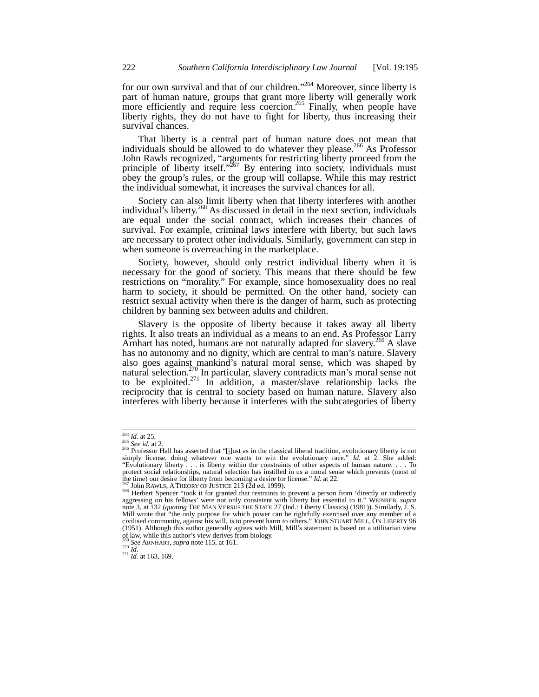for our own survival and that of our children."<sup>264</sup> Moreover, since liberty is part of human nature, groups that grant more liberty will generally work more efficiently and require less coercion.<sup>265</sup> Finally, when people have liberty rights, they do not have to fight for liberty, thus increasing their survival chances.

That liberty is a central part of human nature does not mean that individuals should be allowed to do whatever they please.<sup>266</sup> As Professor John Rawls recognized, "arguments for restricting liberty proceed from the principle of liberty itself." $267$  By entering into society, individuals must obey the group's rules, or the group will collapse. While this may restrict the individual somewhat, it increases the survival chances for all.

Society can also limit liberty when that liberty interferes with another individual's liberty.268 As discussed in detail in the next section, individuals are equal under the social contract, which increases their chances of survival. For example, criminal laws interfere with liberty, but such laws are necessary to protect other individuals. Similarly, government can step in when someone is overreaching in the marketplace.

Society, however, should only restrict individual liberty when it is necessary for the good of society. This means that there should be few restrictions on "morality." For example, since homosexuality does no real harm to society, it should be permitted. On the other hand, society can restrict sexual activity when there is the danger of harm, such as protecting children by banning sex between adults and children.

Slavery is the opposite of liberty because it takes away all liberty rights. It also treats an individual as a means to an end. As Professor Larry Arnhart has noted, humans are not naturally adapted for slavery.<sup>269</sup> A slave has no autonomy and no dignity, which are central to man's nature. Slavery also goes against mankind's natural moral sense, which was shaped by natural selection.<sup>270</sup> In particular, slavery contradicts man's moral sense not to be exploited.<sup>271</sup> In addition, a master/slave relationship lacks the reciprocity that is central to society based on human nature. Slavery also interferes with liberty because it interferes with the subcategories of liberty

<sup>&</sup>lt;sup>264</sup> *Id.* at 25.<br><sup>265</sup> *See id.* at 2.<br><sup>265</sup> *See id.* at 2.<br><sup>266</sup> Professor Hall has asserted that "[j]ust as in the classical liberal tradition, evolutionary liberty is not simply license, doing whatever one wants to w "Evolutionary liberty . . . is liberty within the constraints of other aspects of human nature. . . . To protect social relationships, natural selection has instilled in us a moral sense which prevents (most of

the time) our desire for liberty from becoming a desire for license." *Id.* at 22.<br><sup>267</sup> John RAWLS, A THEORY OF JUSTICE 213 (2d ed. 1999).<br><sup>268</sup> Herbert Spencer "took it for granted that restraints to prevent a person fr note 3, at 132 (*quoting* THE MAN VERSUS THE STATE 27 (Ind.: Liberty Classics) (1981)). Similarly, J. S. Mill wrote that "the only purpose for which power can be rightfully exercised over any member of a civilised community, against his will, is to prevent harm to others." JOHN STUART MILL, ON LIBERTY 96 (1951). Although this author generally agrees with Mill, Mill's statement is based on a utilitarian view of law, while this author's view derives from biology.

<sup>269</sup> *See* ARNHART, *supra* note 115, at 161. <sup>270</sup> *Id.* <sup>271</sup> *Id.* at 163, 169.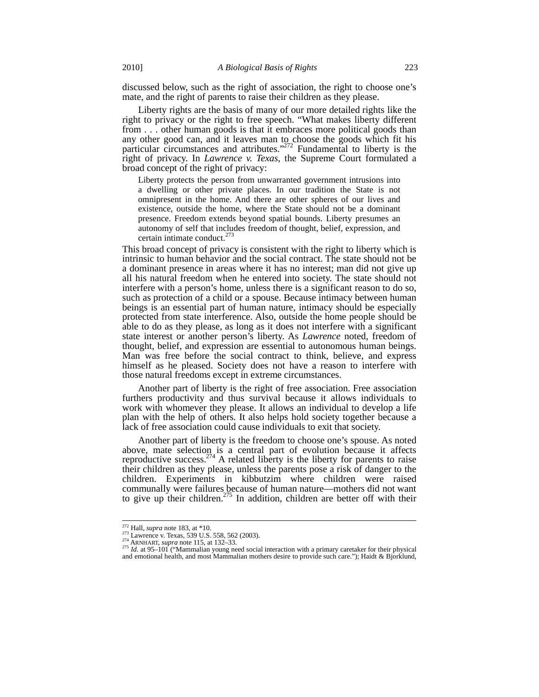discussed below, such as the right of association, the right to choose one's mate, and the right of parents to raise their children as they please.

Liberty rights are the basis of many of our more detailed rights like the right to privacy or the right to free speech. "What makes liberty different from . . . other human goods is that it embraces more political goods than any other good can, and it leaves man to choose the goods which fit his particular circumstances and attributes."<sup>272</sup> Fundamental to liberty is the right of privacy. In *Lawrence v. Texas*, the Supreme Court formulated a broad concept of the right of privacy:

Liberty protects the person from unwarranted government intrusions into a dwelling or other private places. In our tradition the State is not omnipresent in the home. And there are other spheres of our lives and existence, outside the home, where the State should not be a dominant presence. Freedom extends beyond spatial bounds. Liberty presumes an autonomy of self that includes freedom of thought, belief, expression, and certain intimate conduct.<sup>273</sup>

This broad concept of privacy is consistent with the right to liberty which is intrinsic to human behavior and the social contract. The state should not be a dominant presence in areas where it has no interest; man did not give up all his natural freedom when he entered into society. The state should not interfere with a person's home, unless there is a significant reason to do so, such as protection of a child or a spouse. Because intimacy between human beings is an essential part of human nature, intimacy should be especially protected from state interference. Also, outside the home people should be able to do as they please, as long as it does not interfere with a significant state interest or another person's liberty. As *Lawrence* noted, freedom of thought, belief, and expression are essential to autonomous human beings. Man was free before the social contract to think, believe, and express himself as he pleased. Society does not have a reason to interfere with those natural freedoms except in extreme circumstances.

Another part of liberty is the right of free association. Free association furthers productivity and thus survival because it allows individuals to work with whomever they please. It allows an individual to develop a life plan with the help of others. It also helps hold society together because a lack of free association could cause individuals to exit that society.

Another part of liberty is the freedom to choose one's spouse. As noted above, mate selection is a central part of evolution because it affects reproductive success.<sup>274</sup> A related liberty is the liberty for parents to raise their children as they please, unless the parents pose a risk of danger to the children. Experiments in kibbutzim where children were raised communally were failures because of human nature—mothers did not want to give up their children.<sup>275</sup> In addition, children are better off with their

 $\frac{1}{272}$  Hall, *supra* note 183, at \*10.

<sup>273</sup> Lawrence v. Texas, 539 U.S. 558, 562 (2003).<br>
<sup>274</sup> ARNHART, *supra* note 115, at 132–33.<br>
<sup>275</sup> Id. at 95–101 ("Mammalian young need social interaction with a primary caretaker for their physical<br>
<sup>275</sup> Id. at 95–101 and emotional health, and most Mammalian mothers desire to provide such care."); Haidt & Bjorklund,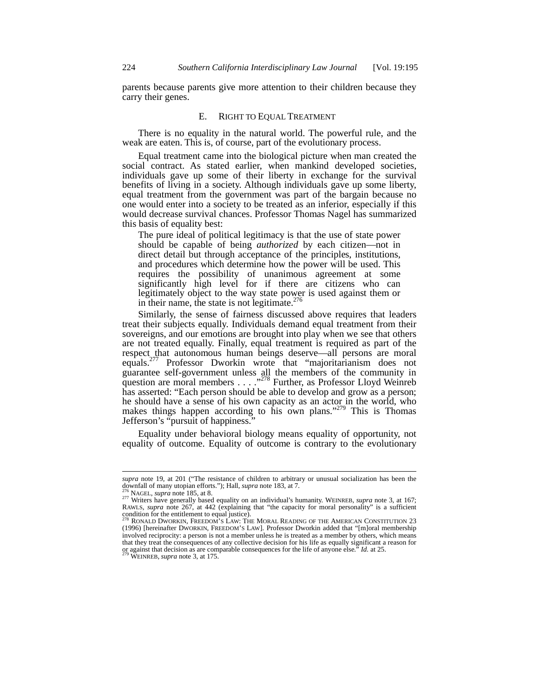parents because parents give more attention to their children because they carry their genes.

### E. RIGHT TO EQUAL TREATMENT

There is no equality in the natural world. The powerful rule, and the weak are eaten. This is, of course, part of the evolutionary process.

Equal treatment came into the biological picture when man created the social contract. As stated earlier, when mankind developed societies, individuals gave up some of their liberty in exchange for the survival benefits of living in a society. Although individuals gave up some liberty, equal treatment from the government was part of the bargain because no one would enter into a society to be treated as an inferior, especially if this would decrease survival chances. Professor Thomas Nagel has summarized this basis of equality best:

The pure ideal of political legitimacy is that the use of state power should be capable of being *authorized* by each citizen—not in direct detail but through acceptance of the principles, institutions, and procedures which determine how the power will be used. This requires the possibility of unanimous agreement at some significantly high level for if there are citizens who can legitimately object to the way state power is used against them or in their name, the state is not legitimate.<sup>276</sup>

Similarly, the sense of fairness discussed above requires that leaders treat their subjects equally. Individuals demand equal treatment from their sovereigns, and our emotions are brought into play when we see that others are not treated equally. Finally, equal treatment is required as part of the respect that autonomous human beings deserve—all persons are moral equals.<sup>277</sup> Professor Dworkin wrote that "majoritarianism does not guarantee self-government unless all the members of the community in question are moral members  $\ldots$  ."<sup>278</sup> Further, as Professor Lloyd Weinreb has asserted: "Each person should be able to develop and grow as a person; he should have a sense of his own capacity as an actor in the world, who makes things happen according to his own plans."<sup>279</sup> This is Thomas Jefferson's "pursuit of happiness."

Equality under behavioral biology means equality of opportunity, not equality of outcome. Equality of outcome is contrary to the evolutionary

*supra* note 19, at 201 ("The resistance of children to arbitrary or unusual socialization has been the downfall of many utopian efforts."); Hall, *supra* note 183, at 7.

<sup>&</sup>lt;sup>276</sup> NAGEL, *supra* note 185, at 8.<br><sup>277</sup> Writers have generally based equality on an individual's humanity. WEINREB, *supra* note 3, at 167; RAWLS, *supra* note 267, at 442 (explaining that "the capacity for moral personality" is a sufficient condition for the entitlement to equal justice).<br><sup>278</sup> RONALD DWORKIN, FREEDOM'S LAW: THE MORAL READING OF THE AMERICAN CONSTITUTION 23

<sup>(1996) [</sup>hereinafter DWORKIN, FREEDOM'S LAW]. Professor Dworkin added that "[m]oral membership involved reciprocity: a person is not a member unless he is treated as a member by others, which means that they treat the consequences of any collective decision for his life as equally significant a reason for or against that decision as are comparable consequences for the life of anyone else." *Id.* at 25. <sup>279</sup> WEINREB*, supra* note 3, at 175.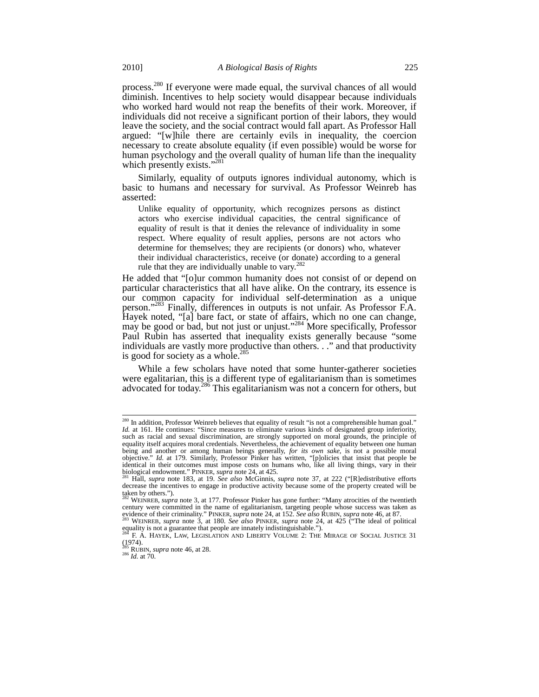process.<sup>280</sup> If everyone were made equal, the survival chances of all would diminish. Incentives to help society would disappear because individuals who worked hard would not reap the benefits of their work. Moreover, if individuals did not receive a significant portion of their labors, they would leave the society, and the social contract would fall apart. As Professor Hall argued: "[w]hile there are certainly evils in inequality, the coercion necessary to create absolute equality (if even possible) would be worse for human psychology and the overall quality of human life than the inequality which presently exists."<sup>28</sup>

Similarly, equality of outputs ignores individual autonomy, which is basic to humans and necessary for survival. As Professor Weinreb has asserted:

Unlike equality of opportunity, which recognizes persons as distinct actors who exercise individual capacities, the central significance of equality of result is that it denies the relevance of individuality in some respect. Where equality of result applies, persons are not actors who determine for themselves; they are recipients (or donors) who, whatever their individual characteristics, receive (or donate) according to a general rule that they are individually unable to vary.<sup>282</sup>

He added that "[o]ur common humanity does not consist of or depend on particular characteristics that all have alike. On the contrary, its essence is our common capacity for individual self-determination as a unique person."<sup>283</sup> Finally, differences in outputs is not unfair. As Professor F.A. Hayek noted, "[a] bare fact, or state of affairs, which no one can change, may be good or bad, but not just or unjust."<sup>284</sup> More specifically, Professor Paul Rubin has asserted that inequality exists generally because "some individuals are vastly more productive than others. . ." and that productivity is good for society as a whole.<sup>285</sup>

While a few scholars have noted that some hunter-gatherer societies were egalitarian, this is a different type of egalitarianism than is sometimes advocated for today.<sup>286</sup> This egalitarianism was not a concern for others, but

 $\overline{a}$ 

<sup>&</sup>lt;sup>280</sup> In addition, Professor Weinreb believes that equality of result "is not a comprehensible human goal." *Id.* at 161. He continues: "Since measures to eliminate various kinds of designated group inferiority, such as racial and sexual discrimination, are strongly supported on moral grounds, the principle of equality itself acquires moral credentials. Nevertheless, the achievement of equality between one human being and another or among human beings generally, *for its own sake*, is not a possible moral objective." *Id.* at 179. Similarly, Professor Pinker has written, "[p]olicies that insist that people be identical in their outcomes must impose costs on humans who, like all living things, vary in their biological endowment." PINKER, *supra* note 24, at 425. <sup>281</sup> Hall, *supra* note 183, at 19. *See also* McGinnis, *supra* note 37, at 222 ("[R]edistributive efforts

decrease the incentives to engage in productive activity because some of the property created will be

taken by others."). <sup>282</sup> WEINREB, *supra* note 3, at 177. Professor Pinker has gone further: "Many atrocities of the twentieth century were committed in the name of egalitarianism, targeting people whose success was taken as evidence of their criminality." PINKER, *supra* note 24, at 152. See also RUBIN, *supra* note 46, at 87.<br><sup>283</sup> WEINREB, *supra* note 3, at 180. See also PINKER, *supra* note 24, at 425 ("The ideal of political

equality is not a guarantee that people are innately indistinguishable.").

F. A. HAYEK, LAW, LEGISLATION AND LIBERTY VOLUME 2: THE MIRAGE OF SOCIAL JUSTICE 31  $(1974)$ .

<sup>285</sup> RUBIN, *supra* note 46, at 28. <sup>286</sup> *Id.* at 70.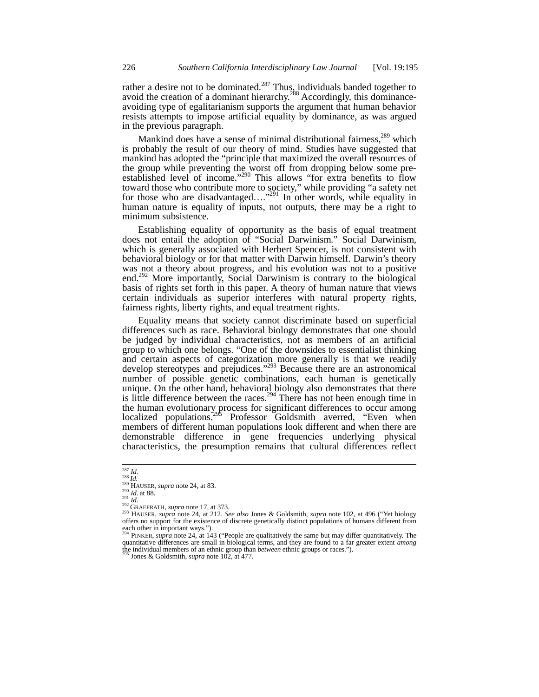rather a desire not to be dominated.<sup>287</sup> Thus, individuals banded together to avoid the creation of a dominant hierarchy.<sup>288</sup> Accordingly, this dominanceavoiding type of egalitarianism supports the argument that human behavior resists attempts to impose artificial equality by dominance, as was argued in the previous paragraph.

Mankind does have a sense of minimal distributional fairness,<sup>289</sup> which is probably the result of our theory of mind. Studies have suggested that mankind has adopted the "principle that maximized the overall resources of the group while preventing the worst off from dropping below some preestablished level of income."<sup>290</sup> This allows "for extra benefits to flow toward those who contribute more to society," while providing "a safety net for those who are disadvantaged…."<sup>291</sup> In other words, while equality in human nature is equality of inputs, not outputs, there may be a right to minimum subsistence.

Establishing equality of opportunity as the basis of equal treatment does not entail the adoption of "Social Darwinism." Social Darwinism, which is generally associated with Herbert Spencer, is not consistent with behavioral biology or for that matter with Darwin himself. Darwin's theory was not a theory about progress, and his evolution was not to a positive end.292 More importantly, Social Darwinism is contrary to the biological basis of rights set forth in this paper. A theory of human nature that views certain individuals as superior interferes with natural property rights, fairness rights, liberty rights, and equal treatment rights.

Equality means that society cannot discriminate based on superficial differences such as race. Behavioral biology demonstrates that one should be judged by individual characteristics, not as members of an artificial group to which one belongs. "One of the downsides to essentialist thinking and certain aspects of categorization more generally is that we readily develop stereotypes and prejudices."<sup>293</sup> Because there are an astronomical number of possible genetic combinations, each human is genetically unique. On the other hand, behavioral biology also demonstrates that there is little difference between the races.<sup>294</sup> There has not been enough time in the human evolutionary process for significant differences to occur among localized populations.<sup>295</sup> Professor Goldsmith averred, "Even when members of different human populations look different and when there are demonstrable difference in gene frequencies underlying physical characteristics, the presumption remains that cultural differences reflect

l

<sup>&</sup>lt;sup>287</sup> Id.<br><sup>288</sup> HAUSER, *supra* note 24, at 83.<br><sup>290</sup> HAUSER, *supra* note 24, at 83.<br><sup>292</sup> GRAEFRATH, *supra* note 17, at 373.<br><sup>292</sup> GRAEFRATH, *supra* note 24, at 212. *See also* Jones & Goldsmith, *supra* note 102, at 4 of the existence is the existence of discrete genetically distinct populations of humans different from<br>offers no support for the existence of discrete genetically distinct populations of humans different from each other in important ways.").

<sup>294</sup> PINKER, *supra* note 24, at 143 ("People are qualitatively the same but may differ quantitatively. The quantitative differences are small in biological terms, and they are found to a far greater extent *among* the individual members of an ethnic group than *between* ethnic groups or races."). 295 Jones & Goldsmith, *supra* note 102, at 477.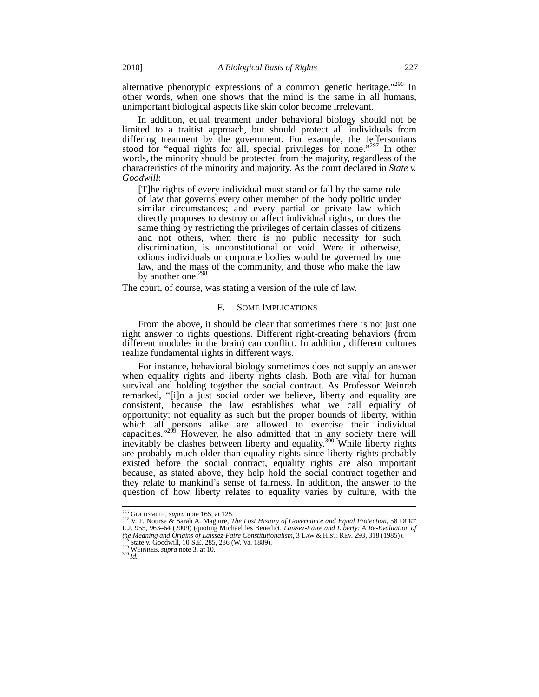alternative phenotypic expressions of a common genetic heritage."<sup>296</sup> In other words, when one shows that the mind is the same in all humans, unimportant biological aspects like skin color become irrelevant.

In addition, equal treatment under behavioral biology should not be limited to a traitist approach, but should protect all individuals from differing treatment by the government. For example, the Jeffersonians stood for "equal rights for all, special privileges for none."<sup>297</sup> In other words, the minority should be protected from the majority, regardless of the characteristics of the minority and majority. As the court declared in *State v. Goodwill*:

[T]he rights of every individual must stand or fall by the same rule of law that governs every other member of the body politic under similar circumstances; and every partial or private law which directly proposes to destroy or affect individual rights, or does the same thing by restricting the privileges of certain classes of citizens and not others, when there is no public necessity for such discrimination, is unconstitutional or void. Were it otherwise, odious individuals or corporate bodies would be governed by one law, and the mass of the community, and those who make the law by another one.<sup>298</sup>

The court, of course, was stating a version of the rule of law.

#### F. SOME IMPLICATIONS

From the above, it should be clear that sometimes there is not just one right answer to rights questions. Different right-creating behaviors (from different modules in the brain) can conflict. In addition, different cultures realize fundamental rights in different ways.

For instance, behavioral biology sometimes does not supply an answer when equality rights and liberty rights clash. Both are vital for human survival and holding together the social contract. As Professor Weinreb remarked, "[i]n a just social order we believe, liberty and equality are consistent, because the law establishes what we call equality of opportunity: not equality as such but the proper bounds of liberty, within which all persons alike are allowed to exercise their individual capacities."<sup>299</sup> However, he also admitted that in any society there will inevitably be clashes between liberty and equality.<sup>300</sup> While liberty rights are probably much older than equality rights since liberty rights probably existed before the social contract, equality rights are also important because, as stated above, they help hold the social contract together and they relate to mankind's sense of fairness. In addition, the answer to the question of how liberty relates to equality varies by culture, with the

<sup>&</sup>lt;sup>296</sup> GOLDSMITH, *supra* note 165, at 125.<br><sup>297</sup> V. F. Nourse & Sarah A. Maguire, *The Lost History of Governance and Equal Protection*, 58 DUKE L.J. 955, 963–64 (2009) (quoting Michael les Benedict, *Laissez-Faire and Liberty: A Re-Evaluation of the Meaning and Origins of Laissez-Faire Constitutionalism*, 3 LAW & HIST. REV. 293, 318 (1985)). <sup>298</sup> State v. Goodwill, 10 S.E. 285, 286 (W. Va. 1889). <sup>299</sup> WEINREB*, supra* note 3, at 10. <sup>300 *Id*</sup>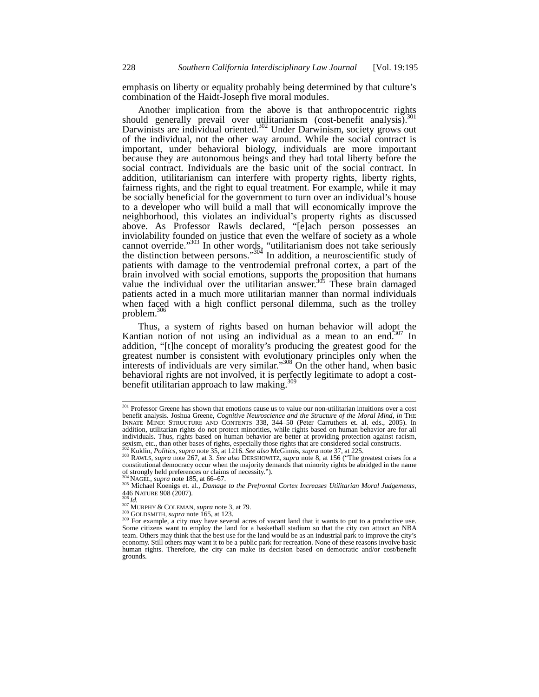emphasis on liberty or equality probably being determined by that culture's combination of the Haidt-Joseph five moral modules.

Another implication from the above is that anthropocentric rights should generally prevail over utilitarianism (cost-benefit analysis).  $301$ Darwinists are individual oriented.<sup>302</sup> Under Darwinism, society grows out of the individual, not the other way around. While the social contract is important, under behavioral biology, individuals are more important because they are autonomous beings and they had total liberty before the social contract. Individuals are the basic unit of the social contract. In addition, utilitarianism can interfere with property rights, liberty rights, fairness rights, and the right to equal treatment. For example, while it may be socially beneficial for the government to turn over an individual's house to a developer who will build a mall that will economically improve the neighborhood, this violates an individual's property rights as discussed above. As Professor Rawls declared, "[e]ach person possesses an inviolability founded on justice that even the welfare of society as a whole cannot override."<sup>303</sup> In other words, "utilitarianism does not take seriously the distinction between persons."<sup>304</sup> In addition, a neuroscientific study of patients with damage to the ventrodemial prefronal cortex, a part of the brain involved with social emotions, supports the proposition that humans value the individual over the utilitarian answer.<sup>305</sup> These brain damaged patients acted in a much more utilitarian manner than normal individuals when faced with a high conflict personal dilemma, such as the trolley problem. $36$ 

Thus, a system of rights based on human behavior will adopt the Kantian notion of not using an individual as a mean to an end.<sup>307</sup> In addition, "[t]he concept of morality's producing the greatest good for the greatest number is consistent with evolutionary principles only when the interests of individuals are very similar."308 On the other hand, when basic behavioral rights are not involved, it is perfectly legitimate to adopt a costbenefit utilitarian approach to law making. $309$ 

<sup>&</sup>lt;sup>301</sup> Professor Greene has shown that emotions cause us to value our non-utilitarian intuitions over a cost benefit analysis. Joshua Greene, *Cognitive Neuroscience and the Structure of the Moral Mind*, *in* THE INNATE MIND: STRUCTURE AND CONTENTS 338, 344–50 (Peter Carruthers et. al. eds., 2005). In addition, utilitarian rights do not protect minorities, while rights based on human behavior are for all individuals. Thus, rights based on human behavior are better at providing protection against racism, sexism, etc., than other bases of rights, especially those rights that are considered social constructs.<br><sup>302</sup> Kuklin, *Politics, supra* note 35, at 1216. See also McGinnis, *supra* note 37, at 225.

<sup>&</sup>lt;sup>303</sup> RAWLS, *supra* note 267, at 3. See also DERSHOWITZ, *supra* note 8, at 156 ("The greatest crises for a constitutional democracy occur when the majority demands that minority rights be abridged in the name of strongly held preferences or claims of necessity.").  $^{304}$  NAGEL, *supra* note 185, at 66–67.

<sup>&</sup>lt;sup>305</sup> Nichael Koenigs et. al., *Damage to the Prefrontal Cortex Increases Utilitarian Moral Judgements*,<br>446 NATURE 908 (2007).<br><sup>306</sup> Id.<br><sup>307</sup> MURPHY & COLEMAN, *supra* note 3, at 79.

 $^{308}$  GOLDSMITH, *supra* note 165, at 123.<br><sup>308</sup> For example, a city may have several acres of vacant land that it wants to put to a productive use. Some citizens want to employ the land for a basketball stadium so that the city can attract an NBA team. Others may think that the best use for the land would be as an industrial park to improve the city's economy. Still others may want it to be a public park for recreation. None of these reasons involve basic human rights. Therefore, the city can make its decision based on democratic and/or cost/benefit grounds.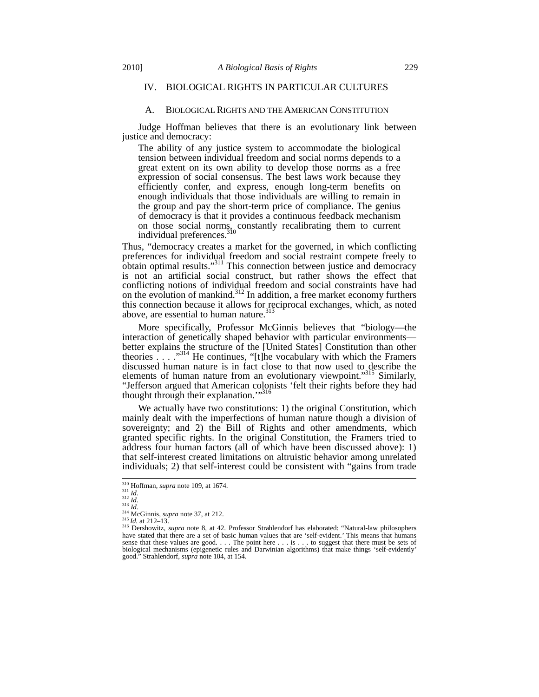# IV. BIOLOGICAL RIGHTS IN PARTICULAR CULTURES

#### A. BIOLOGICAL RIGHTS AND THE AMERICAN CONSTITUTION

Judge Hoffman believes that there is an evolutionary link between justice and democracy:

The ability of any justice system to accommodate the biological tension between individual freedom and social norms depends to a great extent on its own ability to develop those norms as a free expression of social consensus. The best laws work because they efficiently confer, and express, enough long-term benefits on enough individuals that those individuals are willing to remain in the group and pay the short-term price of compliance. The genius of democracy is that it provides a continuous feedback mechanism on those social norms, constantly recalibrating them to current individual preferences.<sup>310</sup>

Thus, "democracy creates a market for the governed, in which conflicting preferences for individual freedom and social restraint compete freely to obtain optimal results."<sup>311</sup> This connection between justice and democracy is not an artificial social construct, but rather shows the effect that conflicting notions of individual freedom and social constraints have had on the evolution of mankind.312 In addition, a free market economy furthers this connection because it allows for reciprocal exchanges, which, as noted above, are essential to human nature. $313$ 

More specifically, Professor McGinnis believes that "biology—the interaction of genetically shaped behavior with particular environments better explains the structure of the [United States] Constitution than other theories  $\ldots$   $\ldots$   $\ldots$   $\ldots$ <sup>314</sup> He continues, "[t]he vocabulary with which the Framers discussed human nature is in fact close to that now used to describe the elements of human nature from an evolutionary viewpoint."<sup>315</sup> Similarly, "Jefferson argued that American colonists 'felt their rights before they had thought through their explanation."316

We actually have two constitutions: 1) the original Constitution, which mainly dealt with the imperfections of human nature though a division of sovereignty; and 2) the Bill of Rights and other amendments, which granted specific rights. In the original Constitution, the Framers tried to address four human factors (all of which have been discussed above): 1) that self-interest created limitations on altruistic behavior among unrelated individuals; 2) that self-interest could be consistent with "gains from trade

 $310$  Hoffman, *supra* note 109, at 1674.

<sup>&</sup>lt;sup>310</sup> Hoffman, *supra* note 109, at 16/4.<br><sup>312</sup> *Id.*<br><sup>312</sup> *Id.*<br><sup>314</sup> McGinnis, *supra* note 37, at 212.<br><sup>315</sup> *Id.* at 212–13.<br><sup>316</sup> Dershowitz, *supra* note 8, at 42. Professor Strahlendorf has elaborated: "Natural-la have stated that there are a set of basic human values that are 'self-evident.' This means that humans sense that these values are good. . . . The point here . . . is . . . to suggest that there must be sets of biological mechanisms (epigenetic rules and Darwinian algorithms) that make things 'self-evidently' good." Strahlendorf, *supra* note 104, at 154.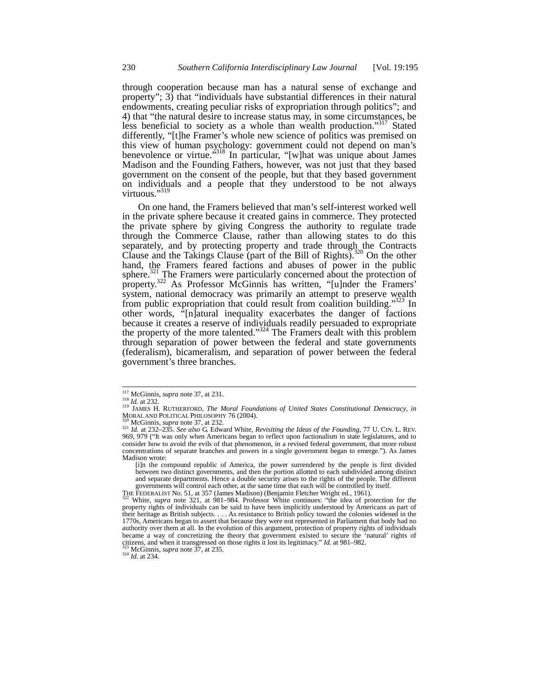through cooperation because man has a natural sense of exchange and property"; 3) that "individuals have substantial differences in their natural endowments, creating peculiar risks of expropriation through politics"; and 4) that "the natural desire to increase status may, in some circumstances, be less beneficial to society as a whole than wealth production."<sup>317</sup> Stated differently, "[t]he Framer's whole new science of politics was premised on this view of human psychology: government could not depend on man's benevolence or virtue."<sup>318</sup> In particular, "[w]hat was unique about James Madison and the Founding Fathers, however, was not just that they based government on the consent of the people, but that they based government on individuals and a people that they understood to be not always virtuous."<sup>319</sup>

On one hand, the Framers believed that man's self-interest worked well in the private sphere because it created gains in commerce. They protected the private sphere by giving Congress the authority to regulate trade through the Commerce Clause, rather than allowing states to do this separately, and by protecting property and trade through the Contracts Clause and the Takings Clause (part of the Bill of Rights).<sup>320</sup> On the other hand, the Framers feared factions and abuses of power in the public sphere.<sup>321</sup> The Framers were particularly concerned about the protection of property.<sup>322</sup> As Professor McGinnis has written, "[u]nder the Framers' system, national democracy was primarily an attempt to preserve wealth from public expropriation that could result from coalition building."323 In other words, "[n]atural inequality exacerbates the danger of factions because it creates a reserve of individuals readily persuaded to expropriate the property of the more talented."<sup>324</sup> The Framers dealt with this problem through separation of power between the federal and state governments (federalism), bicameralism, and separation of power between the federal government's three branches.

<sup>&</sup>lt;sup>317</sup> McGinnis, *supra* note 37, at 231.

<sup>318</sup> *Id.* at 232.<br><sup>318</sup> *Id.* at 232.<br><sup>319</sup> JAMES H. RUTHERFORD, *The Moral Foundations of United States Constitutional Democracy, in* 

<sup>320</sup> McGinnis, *supra* note 37, at 232.<br><sup>321</sup> *Id.* at 232–235. See also G Edward White, *Revisiting the Ideas of the Founding*, 77 U. CIN. L. REV.<br>969, 979 ("It was only when Americans began to reflect upon factionalism i consider how to avoid the evils of that phenomenon, in a revised federal government, that more robust concentrations of separate branches and powers in a single government began to emerge."). As James Madison wrote:

<sup>[</sup>i]n the compound republic of America, the power surrendered by the people is first divided between two distinct governments, and then the portion allotted to each subdivided among distinct and separate departments. Hence a double security arises to the rights of the people. The different governments will control each other, at the same time that each will be controlled by itself.

THE FEDERALIST No. 51, at 357 (James Madison) (Benjamin Fletcher Wright ed., 1961).<br><sup>322</sup> White, *supra* note 321, at 981–984. Professor White continues: "the idea of protection for the property rights of individuals can be said to have been implicitly understood by Americans as part of their heritage as British subjects. . . . As resistance to British policy toward the colonies widened in the 1770s, Americans began to assert that because they were not represented in Parliament that body had no authority over them at all. In the evolution of this argument, protection of property rights of individuals became a way of concretizing the theory that government existed to secure the  $\frac{1}{2}$  natural' rights of citizens, and when it transgressed on those rights it lost its legitimacy." *Id.* at 981–982.<br><sup>323</sup> McGinnis, *sup*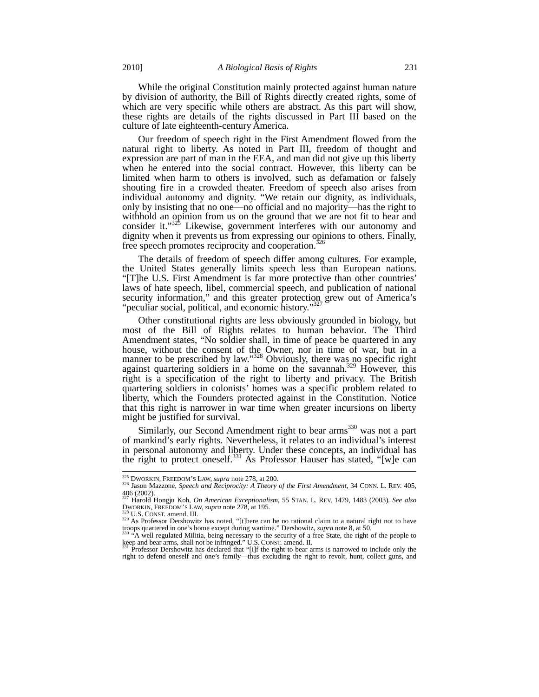While the original Constitution mainly protected against human nature by division of authority, the Bill of Rights directly created rights, some of which are very specific while others are abstract. As this part will show, these rights are details of the rights discussed in Part III based on the culture of late eighteenth-century America.

Our freedom of speech right in the First Amendment flowed from the natural right to liberty. As noted in Part III, freedom of thought and expression are part of man in the EEA, and man did not give up this liberty when he entered into the social contract. However, this liberty can be limited when harm to others is involved, such as defamation or falsely shouting fire in a crowded theater. Freedom of speech also arises from individual autonomy and dignity. "We retain our dignity, as individuals, only by insisting that no one—no official and no majority—has the right to withhold an opinion from us on the ground that we are not fit to hear and consider it."<sup>325</sup> Likewise, government interferes with our autonomy and dignity when it prevents us from expressing our opinions to others. Finally, free speech promotes reciprocity and cooperation.<sup>3</sup>

The details of freedom of speech differ among cultures. For example, the United States generally limits speech less than European nations. "[T]he U.S. First Amendment is far more protective than other countries' laws of hate speech, libel, commercial speech, and publication of national security information," and this greater protection grew out of America's "peculiar social, political, and economic history."<sup>3</sup>

Other constitutional rights are less obviously grounded in biology, but most of the Bill of Rights relates to human behavior. The Third Amendment states, "No soldier shall, in time of peace be quartered in any house, without the consent of the Owner, nor in time of war, but in a manner to be prescribed by law."<sup>328</sup> Obviously, there was no specific right against quartering soldiers in a home on the savannah.<sup>329</sup> However, this right is a specification of the right to liberty and privacy. The British quartering soldiers in colonists' homes was a specific problem related to liberty, which the Founders protected against in the Constitution. Notice that this right is narrower in war time when greater incursions on liberty might be justified for survival.

Similarly, our Second Amendment right to bear arms<sup>330</sup> was not a part of mankind's early rights. Nevertheless, it relates to an individual's interest in personal autonomy and liberty. Under these concepts, an individual has the right to protect oneself.<sup>331</sup> As Professor Hauser has stated, "[w]e can

<sup>&</sup>lt;sup>325</sup> DWORKIN, FREEDOM'S LAW, *supra* note 278, at 200.

<sup>325</sup> DWORKIN, FREEDOM'S LAW, *supra* note 278, at 200. <sup>326</sup> Jason Mazzone, *Speech and Reciprocity: A Theory of the First Amendment*, 34 CONN. L. REV. 405, 406 (2002).

<sup>327</sup> Harold Hongju Koh, *On American Exceptionalism*, 55 STAN. L. REV. 1479, 1483 (2003). *See also* DWORKIN, FREEDOM'S LAW, *supra* note 278, at 195.<br><sup>328</sup> U.S. CONST. amend. III.<br><sup>329</sup> As Professor Dershowitz has noted, "[t]here can be no rational claim to a natural right not to have

troops quartered in one's home except during wartime." Dershowitz, *supra* note 8, at 50. <sup>330</sup> "A well regulated Militia, being necessary to the security of a free State, the right of the people to

keep and bear arms, shall not be infringed." U.S. CONST. amend. II.<br><sup>331</sup> Professor Dershowitz has declared that "[i]f the right to bear arms is narrowed to include only the

right to defend oneself and one's family—thus excluding the right to revolt, hunt, collect guns, and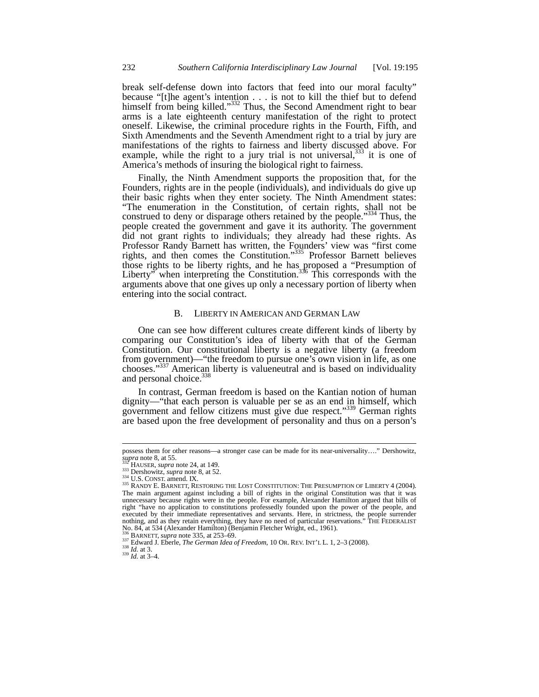break self-defense down into factors that feed into our moral faculty" because "[t]he agent's intention . . . is not to kill the thief but to defend himself from being killed."<sup>332</sup> Thus, the Second Amendment right to bear arms is a late eighteenth century manifestation of the right to protect oneself. Likewise, the criminal procedure rights in the Fourth, Fifth, and Sixth Amendments and the Seventh Amendment right to a trial by jury are manifestations of the rights to fairness and liberty discussed above. For example, while the right to a jury trial is not universal,<sup>333</sup> it is one of America's methods of insuring the biological right to fairness.

Finally, the Ninth Amendment supports the proposition that, for the Founders, rights are in the people (individuals), and individuals do give up their basic rights when they enter society. The Ninth Amendment states: "The enumeration in the Constitution, of certain rights, shall not be construed to deny or disparage others retained by the people."<sup>334</sup> Thus, the people created the government and gave it its authority. The government did not grant rights to individuals; they already had these rights. As Professor Randy Barnett has written, the Founders' view was "first come rights, and then comes the Constitution."335 Professor Barnett believes those rights to be liberty rights, and he has proposed a "Presumption of Liberty" when interpreting the Constitution.<sup>336</sup> This corresponds with the arguments above that one gives up only a necessary portion of liberty when entering into the social contract.

# B. LIBERTY IN AMERICAN AND GERMAN LAW

One can see how different cultures create different kinds of liberty by comparing our Constitution's idea of liberty with that of the German Constitution. Our constitutional liberty is a negative liberty (a freedom from government)—"the freedom to pursue one's own vision in life, as one chooses."337 American liberty is valueneutral and is based on individuality and personal choice.<sup>338</sup>

In contrast, German freedom is based on the Kantian notion of human dignity—"that each person is valuable per se as an end in himself, which government and fellow citizens must give due respect."<sup>339</sup> German rights are based upon the free development of personality and thus on a person's

possess them for other reasons—a stronger case can be made for its near-universality…." Dershowitz, supra note 8, at 55.

 $\frac{332}{332}$  HAUSER, *supra* note 24, at 149.<br>  $\frac{333}{133}$  Dershowitz, *supra* note 8, at 52.<br>  $\frac{334}{133}$  U.S. CONST. amend. IX.<br>  $\frac{334}{133}$  RANDY E. BARNETT, RESTORING THE LOST CONSTITUTION: THE PRESUMPTION OF L The main argument against including a bill of rights in the original Constitution was that it was unnecessary because rights were in the people. For example, Alexander Hamilton argued that bills of right "have no application to constitutions professedly founded upon the power of the people, and executed by their immediate representatives and servants. Here, in strictness, the people surrender nothing, and as they retain everything, they have no need of particular reservations." THE FEDERALIST No. 84, at 534 (Alexander Hamilton) (Benjamin Fletcher Wright, ed., 1961).

<sup>&</sup>lt;sup>336</sup> BARNETT, *supra* note 335, at 253–69.<br><sup>337</sup> Edward J. Eberle, *The German Idea of Freedom*, 10 OR. REV. INT'L L. 1, 2–3 (2008).<br><sup>338</sup> *Id.* at 3–4.<br><sup>339</sup> *Id.* at 3–4.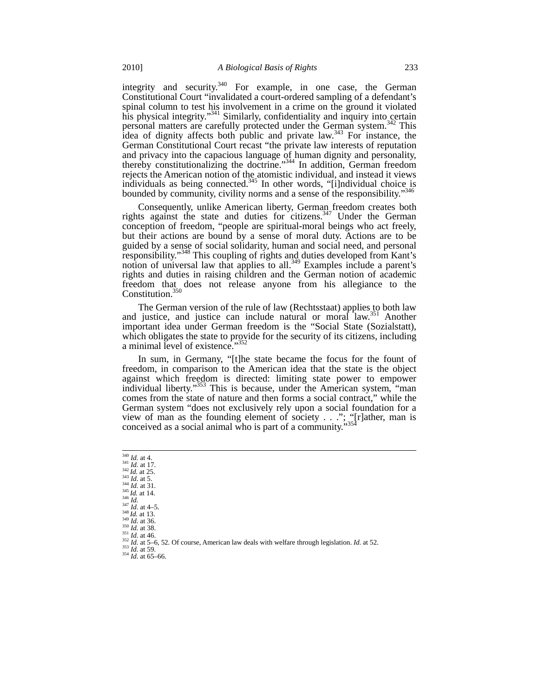integrity and security.<sup>340</sup> For example, in one case, the German Constitutional Court "invalidated a court-ordered sampling of a defendant's spinal column to test his involvement in a crime on the ground it violated his physical integrity."<sup>341</sup> Similarly, confidentiality and inquiry into certain personal matters are carefully protected under the German system.<sup>342</sup> This idea of dignity affects both public and private law.<sup>343</sup> For instance, the German Constitutional Court recast "the private law interests of reputation and privacy into the capacious language of human dignity and personality, thereby constitutionalizing the doctrine."344 In addition, German freedom rejects the American notion of the atomistic individual, and instead it views individuals as being connected.<sup>345</sup> In other words, "[i]ndividual choice is bounded by community, civility norms and a sense of the responsibility."<sup>346</sup>

Consequently, unlike American liberty, German freedom creates both rights against the state and duties for citizens.<sup>347</sup> Under the German conception of freedom, "people are spiritual-moral beings who act freely, but their actions are bound by a sense of moral duty. Actions are to be guided by a sense of social solidarity, human and social need, and personal responsibility."<sup>348</sup> This coupling of rights and duties developed from Kant's notion of universal law that applies to all.<sup>349</sup> Examples include a parent's rights and duties in raising children and the German notion of academic freedom that does not release anyone from his allegiance to the Constitution.<sup>350</sup>

The German version of the rule of law (Rechtsstaat) applies to both law and justice, and justice can include natural or moral law.<sup>351</sup> Another important idea under German freedom is the "Social State (Sozialstatt), which obligates the state to provide for the security of its citizens, including a minimal level of existence."<sup>352</sup>

In sum, in Germany, "[t]he state became the focus for the fount of freedom, in comparison to the American idea that the state is the object against which freedom is directed: limiting state power to empower individual liberty."<sup>353</sup> This is because, under the American system, "man comes from the state of nature and then forms a social contract," while the German system "does not exclusively rely upon a social foundation for a view of man as the founding element of society . . ."; "[r]ather, man is conceived as a social animal who is part of a community."354

- 340 *Id.* at 4.<br>
341 *Id.* at 17.<br>
342 *Id.* at 25.<br>
343 *Id.* at 5.<br>
344 *Id.* at 31.<br>
346 *Id.* at 14.<br>
347 *Id.* at 4-5.<br>
348 *Id.* at 36.<br>
339 *Id.* at 36.<br>
351 *Id.* at 36.<br>
351 *Id.* at 36.
- 
- 
- 
- 
- 
- 
- 
- $\frac{1}{251}$ <br>  $\frac{1}{1}$  at 46.<br>  $\frac{352}{1}$  at 46.<br>  $\frac{352}{1}$  at 46.<br>  $\frac{352}{1}$  at 5–6, 52. Of course, American law deals with welfare through legislation. *Id.* at 52.<br>  $\frac{353}{1}$  *Id.* at 65–66.
-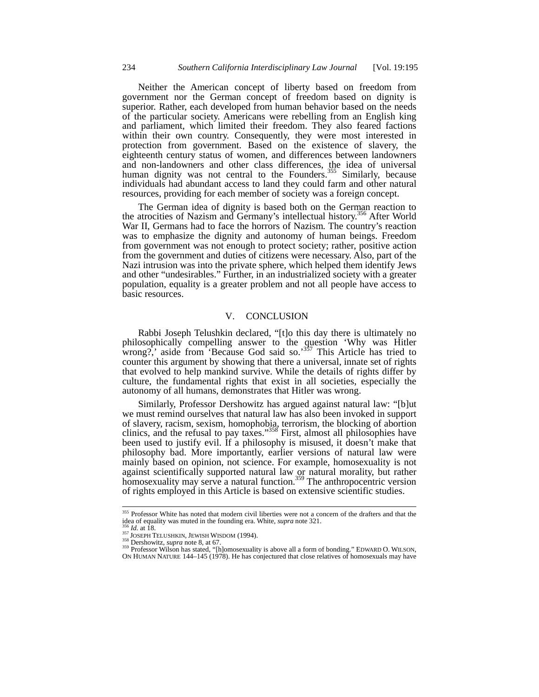Neither the American concept of liberty based on freedom from government nor the German concept of freedom based on dignity is superior. Rather, each developed from human behavior based on the needs of the particular society. Americans were rebelling from an English king and parliament, which limited their freedom. They also feared factions within their own country. Consequently, they were most interested in protection from government. Based on the existence of slavery, the eighteenth century status of women, and differences between landowners and non-landowners and other class differences, the idea of universal human dignity was not central to the Founders.<sup>355</sup> Similarly, because individuals had abundant access to land they could farm and other natural resources, providing for each member of society was a foreign concept.

The German idea of dignity is based both on the German reaction to the atrocities of Nazism and Germany's intellectual history.<sup>356</sup> After World War II, Germans had to face the horrors of Nazism. The country's reaction was to emphasize the dignity and autonomy of human beings. Freedom from government was not enough to protect society; rather, positive action from the government and duties of citizens were necessary. Also, part of the Nazi intrusion was into the private sphere, which helped them identify Jews and other "undesirables." Further, in an industrialized society with a greater population, equality is a greater problem and not all people have access to basic resources.

#### V. CONCLUSION

Rabbi Joseph Telushkin declared, "[t]o this day there is ultimately no philosophically compelling answer to the question 'Why was Hitler wrong?,' aside from 'Because God said so.'<sup>357</sup> This Article has tried to counter this argument by showing that there a universal, innate set of rights that evolved to help mankind survive. While the details of rights differ by culture, the fundamental rights that exist in all societies, especially the autonomy of all humans, demonstrates that Hitler was wrong.

Similarly, Professor Dershowitz has argued against natural law: "[b]ut we must remind ourselves that natural law has also been invoked in support of slavery, racism, sexism, homophobia, terrorism, the blocking of abortion clinics, and the refusal to pay taxes." $358$  First, almost all philosophies have been used to justify evil. If a philosophy is misused, it doesn't make that philosophy bad. More importantly, earlier versions of natural law were mainly based on opinion, not science. For example, homosexuality is not against scientifically supported natural law or natural morality, but rather homosexuality may serve a natural function.<sup>359</sup> The anthropocentric version of rights employed in this Article is based on extensive scientific studies.

<sup>&</sup>lt;sup>355</sup> Professor White has noted that modern civil liberties were not a concern of the drafters and that the idea of equality was muted in the founding era. White, *supra* note 321.<br>
<sup>356</sup> *Id.* at 18.<br>
<sup>357</sup> JOSEPH TELUSHKIN, JEWISH WISDOM (1994).<br>
<sup>358</sup> Dershowitz, *supra* note 8, at 67.<br>
<sup>359</sup> Professor Wilson has stated, "[h]

ON HUMAN NATURE 144–145 (1978). He has conjectured that close relatives of homosexuals may have